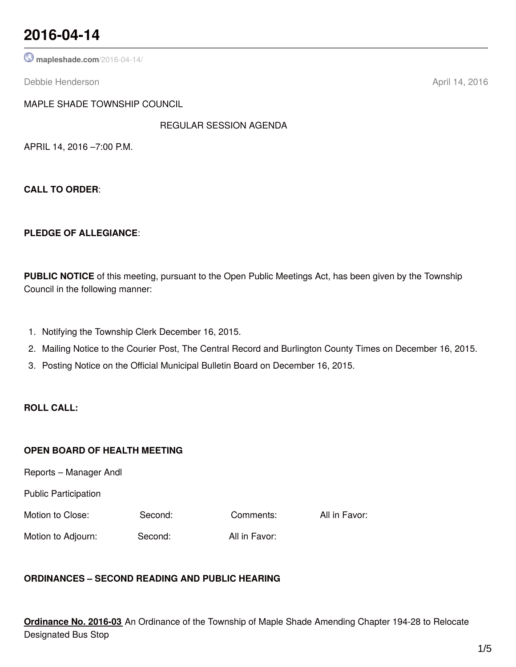## **2016-04-14**

**[mapleshade.com](http://www.mapleshade.com/2016-04-14/)**/2016-04-14/

Debbie Henderson April 14, 2016

MAPLE SHADE TOWNSHIP COUNCIL

REGULAR SESSION AGENDA

APRIL 14, 2016 –7:00 P.M.

**CALL TO ORDER**:

#### **PLEDGE OF ALLEGIANCE**:

**PUBLIC NOTICE** of this meeting, pursuant to the Open Public Meetings Act, has been given by the Township Council in the following manner:

- 1. Notifying the Township Clerk December 16, 2015.
- 2. Mailing Notice to the Courier Post, The Central Record and Burlington County Times on December 16, 2015.
- 3. Posting Notice on the Official Municipal Bulletin Board on December 16, 2015.

### **ROLL CALL:**

#### **OPEN BOARD OF HEALTH MEETING**

Reports – Manager Andl

Public Participation

Motion to Close: Second: Comments: All in Favor:

Motion to Adjourn: Second: All in Favor:

## **ORDINANCES – SECOND READING AND PUBLIC HEARING**

**Ordinance No. 2016-03** An Ordinance of the Township of Maple Shade Amending Chapter 194-28 to Relocate Designated Bus Stop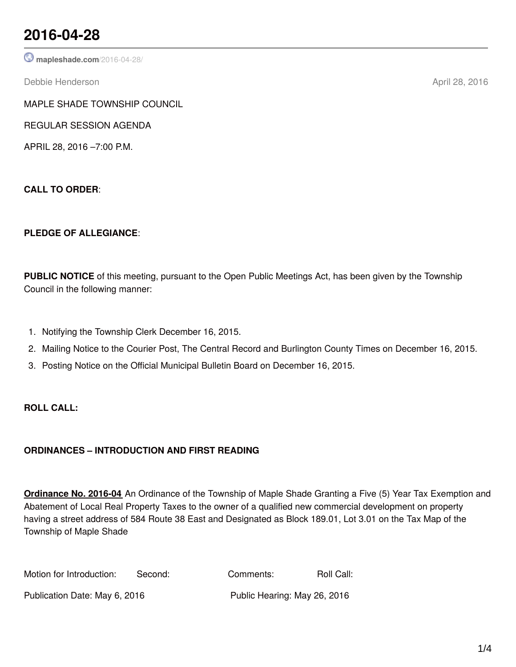## **2016-04-28**

**[mapleshade.com](http://www.mapleshade.com/2016-04-28/)**/2016-04-28/

Debbie Henderson April 28, 2016

MAPLE SHADE TOWNSHIP COUNCIL

REGULAR SESSION AGENDA

APRIL 28, 2016 –7:00 P.M.

**CALL TO ORDER**:

## **PLEDGE OF ALLEGIANCE**:

**PUBLIC NOTICE** of this meeting, pursuant to the Open Public Meetings Act, has been given by the Township Council in the following manner:

- 1. Notifying the Township Clerk December 16, 2015.
- 2. Mailing Notice to the Courier Post, The Central Record and Burlington County Times on December 16, 2015.
- 3. Posting Notice on the Official Municipal Bulletin Board on December 16, 2015.

## **ROLL CALL:**

## **ORDINANCES – INTRODUCTION AND FIRST READING**

**Ordinance No. 2016-04** An Ordinance of the Township of Maple Shade Granting a Five (5) Year Tax Exemption and Abatement of Local Real Property Taxes to the owner of a qualified new commercial development on property having a street address of 584 Route 38 East and Designated as Block 189.01, Lot 3.01 on the Tax Map of the Township of Maple Shade

| Motion for Introduction:      | Second: | Comments:                    | Roll Call: |
|-------------------------------|---------|------------------------------|------------|
| Publication Date: May 6, 2016 |         | Public Hearing: May 26, 2016 |            |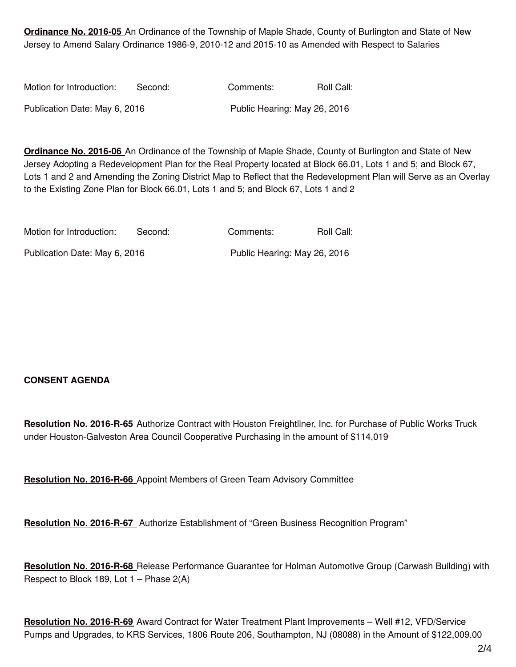**Ordinance No. 2016-05** An Ordinance of the Township of Maple Shade, County of Burlington and State of New Jersey to Amend Salary Ordinance 1986-9, 2010-12 and 2015-10 as Amended with Respect to Salaries

| Motion for Introduction:      | Second: | Comments:                    | Roll Call: |
|-------------------------------|---------|------------------------------|------------|
| Publication Date: May 6, 2016 |         | Public Hearing: May 26, 2016 |            |

**Ordinance No. 2016-06** An Ordinance of the Township of Maple Shade, County of Burlington and State of New Jersey Adopting a Redevelopment Plan for the Real Property located at Block 66.01, Lots 1 and 5; and Block 67, Lots 1 and 2 and Amending the Zoning District Map to Reflect that the Redevelopment Plan will Serve as an Overlay to the Existing Zone Plan for Block 66.01, Lots 1 and 5; and Block 67, Lots 1 and 2

| Motion for Introduction:      | Second: | Comments:                    | Roll Call: |
|-------------------------------|---------|------------------------------|------------|
| Publication Date: May 6, 2016 |         | Public Hearing: May 26, 2016 |            |

## **CONSENT AGENDA**

**Resolution No. 2016-R-65** Authorize Contract with Houston Freightliner, Inc. for Purchase of Public Works Truck under Houston-Galveston Area Council Cooperative Purchasing in the amount of \$114,019

**Resolution No. 2016-R-66** Appoint Members of Green Team Advisory Committee

**Resolution No. 2016-R-67** Authorize Establishment of "Green Business Recognition Program"

**Resolution No. 2016-R-68** Release Performance Guarantee for Holman Automotive Group (Carwash Building) with Respect to Block 189, Lot 1 – Phase 2(A)

**Resolution No. 2016-R-69** Award Contract for Water Treatment Plant Improvements – Well #12, VFD/Service Pumps and Upgrades, to KRS Services, 1806 Route 206, Southampton, NJ (08088) in the Amount of \$122,009.00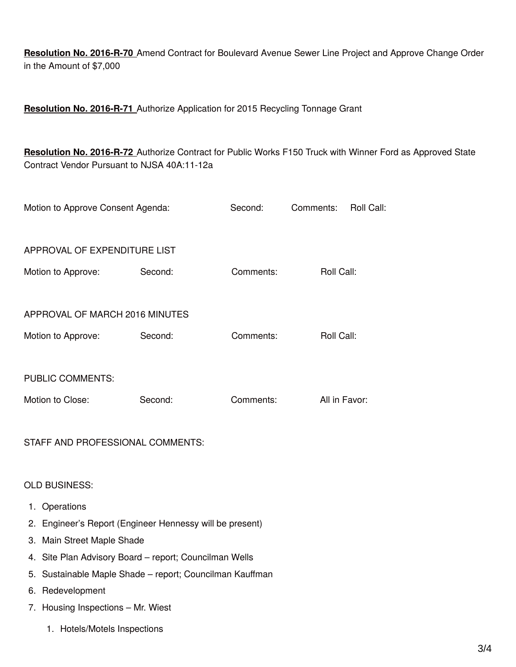**Resolution No. 2016-R-70** Amend Contract for Boulevard Avenue Sewer Line Project and Approve Change Order in the Amount of \$7,000

**Resolution No. 2016-R-71** Authorize Application for 2015 Recycling Tonnage Grant

**Resolution No. 2016-R-72** Authorize Contract for Public Works F150 Truck with Winner Ford as Approved State Contract Vendor Pursuant to NJSA 40A:11-12a

| Motion to Approve Consent Agenda: |         | Second:   | Comments:     | Roll Call: |
|-----------------------------------|---------|-----------|---------------|------------|
| APPROVAL OF EXPENDITURE LIST      |         |           |               |            |
| Motion to Approve:                | Second: | Comments: | Roll Call:    |            |
|                                   |         |           |               |            |
| APPROVAL OF MARCH 2016 MINUTES    |         |           |               |            |
| Motion to Approve:                | Second: | Comments: | Roll Call:    |            |
|                                   |         |           |               |            |
| <b>PUBLIC COMMENTS:</b>           |         |           |               |            |
| Motion to Close:                  | Second: | Comments: | All in Favor: |            |
|                                   |         |           |               |            |

STAFF AND PROFESSIONAL COMMENTS:

OLD BUSINESS:

- 1. Operations
- 2. Engineer's Report (Engineer Hennessy will be present)
- 3. Main Street Maple Shade
- 4. Site Plan Advisory Board report; Councilman Wells
- 5. Sustainable Maple Shade report; Councilman Kauffman
- 6. Redevelopment
- 7. Housing Inspections Mr. Wiest
	- 1. Hotels/Motels Inspections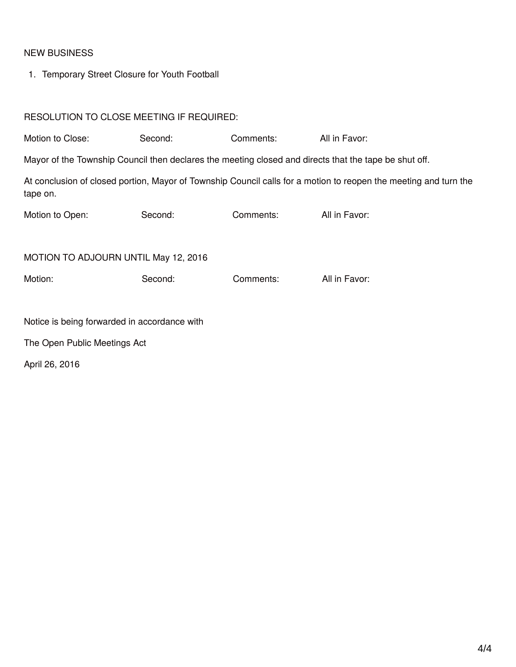## NEW BUSINESS

1. Temporary Street Closure for Youth Football

## RESOLUTION TO CLOSE MEETING IF REQUIRED:

| Motion to Close:                             | Second: | Comments: | All in Favor:                                                                                                    |  |
|----------------------------------------------|---------|-----------|------------------------------------------------------------------------------------------------------------------|--|
|                                              |         |           | Mayor of the Township Council then declares the meeting closed and directs that the tape be shut off.            |  |
| tape on.                                     |         |           | At conclusion of closed portion, Mayor of Township Council calls for a motion to reopen the meeting and turn the |  |
| Motion to Open:                              | Second: | Comments: | All in Favor:                                                                                                    |  |
|                                              |         |           |                                                                                                                  |  |
| MOTION TO ADJOURN UNTIL May 12, 2016         |         |           |                                                                                                                  |  |
| Motion:                                      | Second: | Comments: | All in Favor:                                                                                                    |  |
|                                              |         |           |                                                                                                                  |  |
| Notice is being forwarded in accordance with |         |           |                                                                                                                  |  |
| The Open Public Meetings Act                 |         |           |                                                                                                                  |  |
| April 26, 2016                               |         |           |                                                                                                                  |  |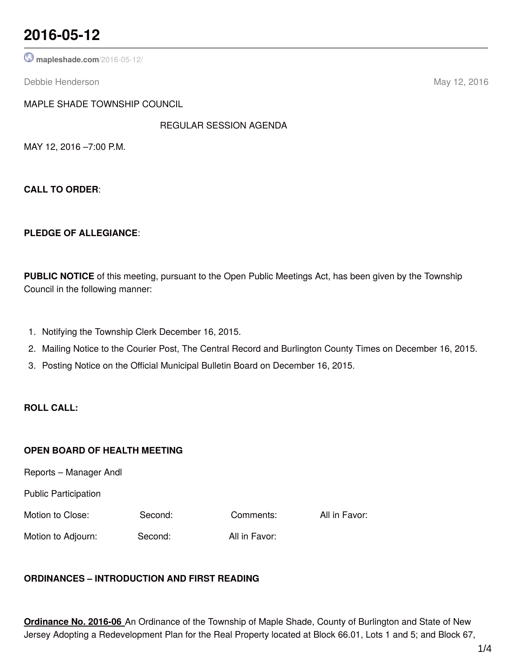## **2016-05-12**

**[mapleshade.com](http://www.mapleshade.com/2016-05-12/)**/2016-05-12/

Debbie Henderson May 12, 2016

MAPLE SHADE TOWNSHIP COUNCIL

REGULAR SESSION AGENDA

MAY 12, 2016 –7:00 P.M.

**CALL TO ORDER**:

#### **PLEDGE OF ALLEGIANCE**:

**PUBLIC NOTICE** of this meeting, pursuant to the Open Public Meetings Act, has been given by the Township Council in the following manner:

- 1. Notifying the Township Clerk December 16, 2015.
- 2. Mailing Notice to the Courier Post, The Central Record and Burlington County Times on December 16, 2015.
- 3. Posting Notice on the Official Municipal Bulletin Board on December 16, 2015.

### **ROLL CALL:**

#### **OPEN BOARD OF HEALTH MEETING**

Reports – Manager Andl

Public Participation

Motion to Close: Second: Comments: All in Favor:

Motion to Adjourn: Second: All in Favor:

## **ORDINANCES – INTRODUCTION AND FIRST READING**

**Ordinance No. 2016-06** An Ordinance of the Township of Maple Shade, County of Burlington and State of New Jersey Adopting a Redevelopment Plan for the Real Property located at Block 66.01, Lots 1 and 5; and Block 67,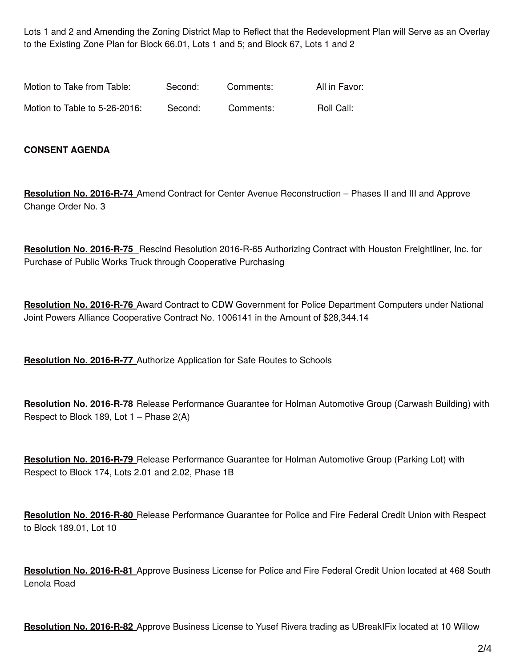Lots 1 and 2 and Amending the Zoning District Map to Reflect that the Redevelopment Plan will Serve as an Overlay to the Existing Zone Plan for Block 66.01, Lots 1 and 5; and Block 67, Lots 1 and 2

| Motion to Take from Table:    | Second: | Comments: | All in Favor: |
|-------------------------------|---------|-----------|---------------|
| Motion to Table to 5-26-2016: | Second: | Comments: | Roll Call:    |

#### **CONSENT AGENDA**

**Resolution No. 2016-R-74** Amend Contract for Center Avenue Reconstruction – Phases II and III and Approve Change Order No. 3

**Resolution No. 2016-R-75** Rescind Resolution 2016-R-65 Authorizing Contract with Houston Freightliner, Inc. for Purchase of Public Works Truck through Cooperative Purchasing

**Resolution No. 2016-R-76** Award Contract to CDW Government for Police Department Computers under National Joint Powers Alliance Cooperative Contract No. 1006141 in the Amount of \$28,344.14

**Resolution No. 2016-R-77** Authorize Application for Safe Routes to Schools

**Resolution No. 2016-R-78** Release Performance Guarantee for Holman Automotive Group (Carwash Building) with Respect to Block 189, Lot 1 – Phase 2(A)

**Resolution No. 2016-R-79** Release Performance Guarantee for Holman Automotive Group (Parking Lot) with Respect to Block 174, Lots 2.01 and 2.02, Phase 1B

**Resolution No. 2016-R-80** Release Performance Guarantee for Police and Fire Federal Credit Union with Respect to Block 189.01, Lot 10

**Resolution No. 2016-R-81** Approve Business License for Police and Fire Federal Credit Union located at 468 South Lenola Road

**Resolution No. 2016-R-82** Approve Business License to Yusef Rivera trading as UBreakIFix located at 10 Willow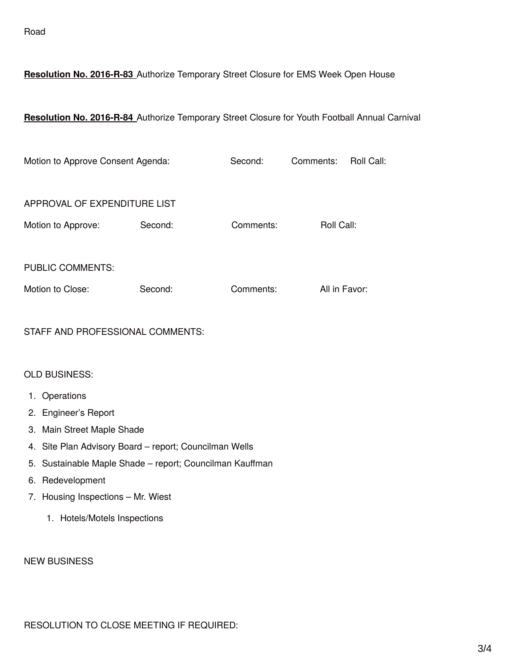### **Resolution No. 2016-R-83** Authorize Temporary Street Closure for EMS Week Open House

#### **Resolution No. 2016-R-84** Authorize Temporary Street Closure for Youth Football Annual Carnival

| Motion to Approve Consent Agenda: |         | Second:   | Comments:     | Roll Call: |
|-----------------------------------|---------|-----------|---------------|------------|
| APPROVAL OF EXPENDITURE LIST      |         |           |               |            |
| Motion to Approve:                | Second: | Comments: | Roll Call:    |            |
| <b>PUBLIC COMMENTS:</b>           |         |           |               |            |
| Motion to Close:                  | Second: | Comments: | All in Favor: |            |

#### STAFF AND PROFESSIONAL COMMENTS:

#### OLD BUSINESS:

- 1. Operations
- 2. Engineer's Report
- 3. Main Street Maple Shade
- 4. Site Plan Advisory Board report; Councilman Wells
- 5. Sustainable Maple Shade report; Councilman Kauffman
- 6. Redevelopment
- 7. Housing Inspections Mr. Wiest
	- 1. Hotels/Motels Inspections

#### NEW BUSINESS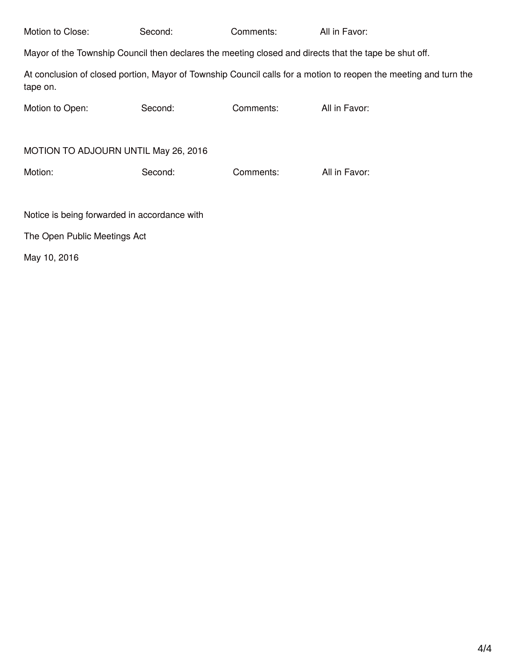| Motion to Close:                                                                                      | Second: | Comments: | All in Favor:                                                                                                    |  |  |
|-------------------------------------------------------------------------------------------------------|---------|-----------|------------------------------------------------------------------------------------------------------------------|--|--|
| Mayor of the Township Council then declares the meeting closed and directs that the tape be shut off. |         |           |                                                                                                                  |  |  |
| tape on.                                                                                              |         |           | At conclusion of closed portion, Mayor of Township Council calls for a motion to reopen the meeting and turn the |  |  |
| Motion to Open:                                                                                       | Second: | Comments: | All in Favor:                                                                                                    |  |  |
|                                                                                                       |         |           |                                                                                                                  |  |  |
| MOTION TO ADJOURN UNTIL May 26, 2016                                                                  |         |           |                                                                                                                  |  |  |
| Motion:                                                                                               | Second: | Comments: | All in Favor:                                                                                                    |  |  |
|                                                                                                       |         |           |                                                                                                                  |  |  |
| Notice is being forwarded in accordance with                                                          |         |           |                                                                                                                  |  |  |
| The Open Public Meetings Act                                                                          |         |           |                                                                                                                  |  |  |

May 10, 2016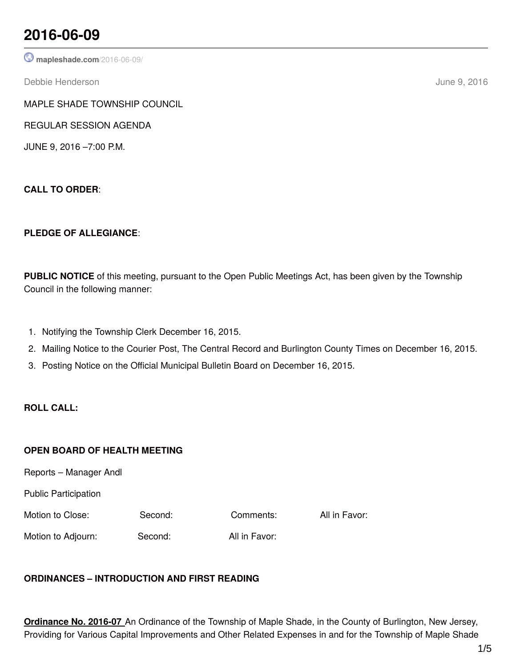## **2016-06-09**

**[mapleshade.com](http://www.mapleshade.com/2016-06-09/)**/2016-06-09/

Debbie Henderson June 9, 2016

MAPLE SHADE TOWNSHIP COUNCIL

REGULAR SESSION AGENDA

JUNE 9, 2016 –7:00 P.M.

**CALL TO ORDER**:

## **PLEDGE OF ALLEGIANCE**:

**PUBLIC NOTICE** of this meeting, pursuant to the Open Public Meetings Act, has been given by the Township Council in the following manner:

- 1. Notifying the Township Clerk December 16, 2015.
- 2. Mailing Notice to the Courier Post, The Central Record and Burlington County Times on December 16, 2015.
- 3. Posting Notice on the Official Municipal Bulletin Board on December 16, 2015.

## **ROLL CALL:**

## **OPEN BOARD OF HEALTH MEETING**

Reports – Manager Andl

Public Participation

Motion to Close: Second: Comments: All in Favor:

Motion to Adjourn: Second: All in Favor:

## **ORDINANCES – INTRODUCTION AND FIRST READING**

**Ordinance No. 2016-07** An Ordinance of the Township of Maple Shade, in the County of Burlington, New Jersey, Providing for Various Capital Improvements and Other Related Expenses in and for the Township of Maple Shade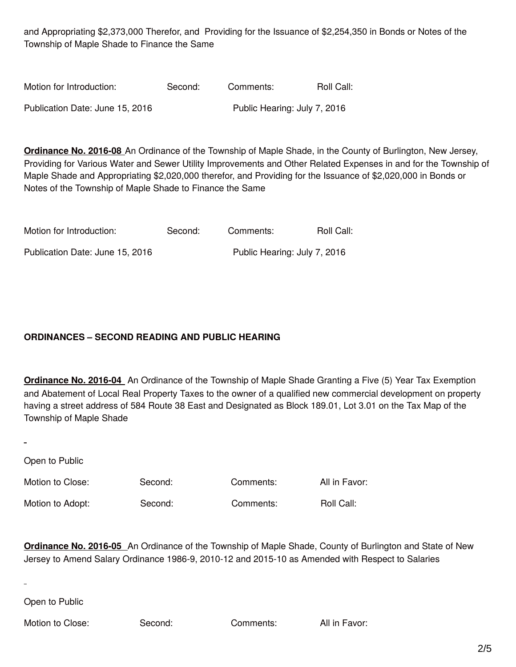and Appropriating \$2,373,000 Therefor, and Providing for the Issuance of \$2,254,350 in Bonds or Notes of the Township of Maple Shade to Finance the Same

| Motion for Introduction:        | Second: | Comments:                    | Roll Call: |
|---------------------------------|---------|------------------------------|------------|
| Publication Date: June 15, 2016 |         | Public Hearing: July 7, 2016 |            |

**Ordinance No. 2016-08** An Ordinance of the Township of Maple Shade, in the County of Burlington, New Jersey, Providing for Various Water and Sewer Utility Improvements and Other Related Expenses in and for the Township of Maple Shade and Appropriating \$2,020,000 therefor, and Providing for the Issuance of \$2,020,000 in Bonds or Notes of the Township of Maple Shade to Finance the Same

| Motion for Introduction:        | Second: | Comments:                    | Roll Call: |
|---------------------------------|---------|------------------------------|------------|
| Publication Date: June 15, 2016 |         | Public Hearing: July 7, 2016 |            |

## **ORDINANCES – SECOND READING AND PUBLIC HEARING**

**Ordinance No. 2016-04** An Ordinance of the Township of Maple Shade Granting a Five (5) Year Tax Exemption and Abatement of Local Real Property Taxes to the owner of a qualified new commercial development on property having a street address of 584 Route 38 East and Designated as Block 189.01, Lot 3.01 on the Tax Map of the Township of Maple Shade

Open to Public

Motion to Close: Second: Comments: All in Favor:

Motion to Adopt: Second: Comments: Roll Call:

**Ordinance No. 2016-05** An Ordinance of the Township of Maple Shade, County of Burlington and State of New Jersey to Amend Salary Ordinance 1986-9, 2010-12 and 2015-10 as Amended with Respect to Salaries

Open to Public

Motion to Close: Second: Comments: All in Favor: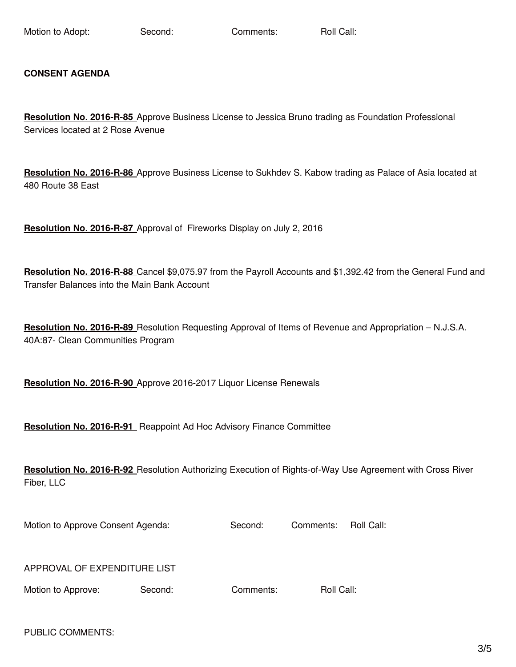Motion to Adopt: Second: Comments: Roll Call:

#### **CONSENT AGENDA**

**Resolution No. 2016-R-85** Approve Business License to Jessica Bruno trading as Foundation Professional Services located at 2 Rose Avenue

**Resolution No. 2016-R-86** Approve Business License to Sukhdev S. Kabow trading as Palace of Asia located at 480 Route 38 East

**Resolution No. 2016-R-87** Approval of Fireworks Display on July 2, 2016

**Resolution No. 2016-R-88** Cancel \$9,075.97 from the Payroll Accounts and \$1,392.42 from the General Fund and Transfer Balances into the Main Bank Account

**Resolution No. 2016-R-89** Resolution Requesting Approval of Items of Revenue and Appropriation – N.J.S.A. 40A:87- Clean Communities Program

**Resolution No. 2016-R-90** Approve 2016-2017 Liquor License Renewals

**Resolution No. 2016-R-91** Reappoint Ad Hoc Advisory Finance Committee

**Resolution No. 2016-R-92** Resolution Authorizing Execution of Rights-of-Way Use Agreement with Cross River Fiber, LLC

Motion to Approve Consent Agenda: Second: Comments: Roll Call:

APPROVAL OF EXPENDITURE LIST

Motion to Approve: Second: Comments: Roll Call:

PUBLIC COMMENTS: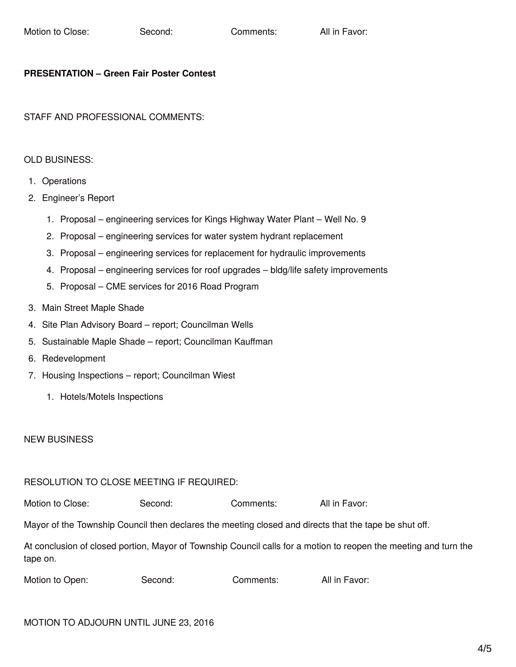#### **PRESENTATION – Green Fair Poster Contest**

STAFF AND PROFESSIONAL COMMENTS:

## OLD BUSINESS:

- 1. Operations
- 2. Engineer's Report
	- 1. Proposal engineering services for Kings Highway Water Plant Well No. 9
	- 2. Proposal engineering services for water system hydrant replacement
	- 3. Proposal engineering services for replacement for hydraulic improvements
	- 4. Proposal engineering services for roof upgrades bldg/life safety improvements
	- 5. Proposal CME services for 2016 Road Program
- 3. Main Street Maple Shade
- 4. Site Plan Advisory Board report; Councilman Wells
- 5. Sustainable Maple Shade report; Councilman Kauffman
- 6. Redevelopment
- 7. Housing Inspections report; Councilman Wiest
	- 1. Hotels/Motels Inspections

## NEW BUSINESS

## RESOLUTION TO CLOSE MEETING IF REQUIRED:

Motion to Close: Second: Comments: All in Favor:

Mayor of the Township Council then declares the meeting closed and directs that the tape be shut off.

At conclusion of closed portion, Mayor of Township Council calls for a motion to reopen the meeting and turn the tape on.

| Second:<br>Comments: | Motion to Open: |  |  | All in Favor: |
|----------------------|-----------------|--|--|---------------|
|----------------------|-----------------|--|--|---------------|

## MOTION TO ADJOURN UNTIL JUNE 23, 2016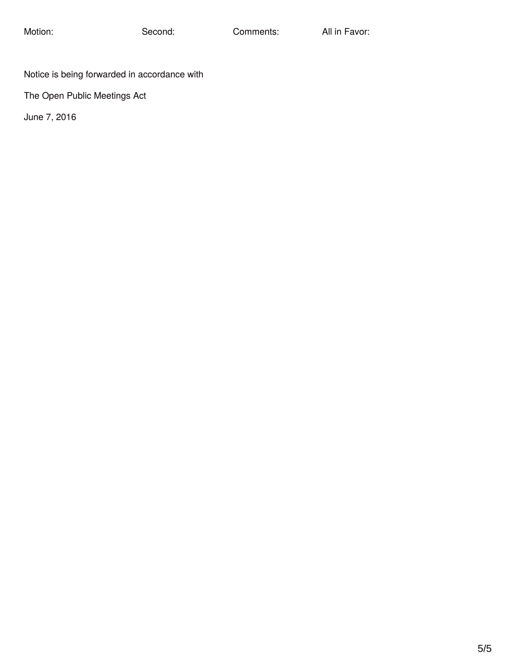Notice is being forwarded in accordance with

The Open Public Meetings Act

June 7, 2016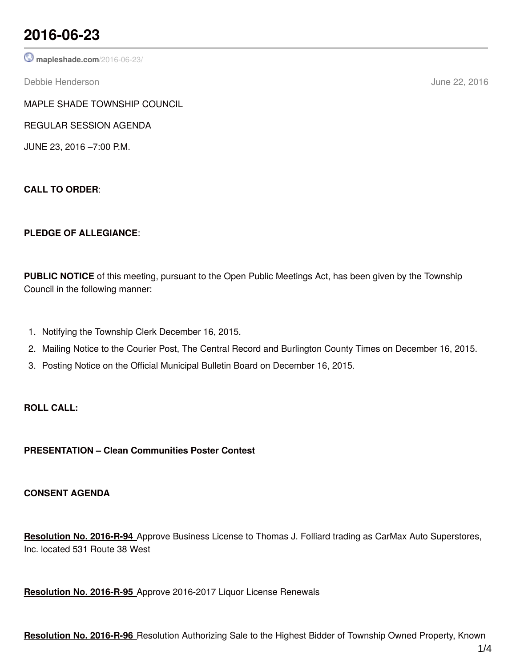## **2016-06-23**

**[mapleshade.com](http://www.mapleshade.com/2016-06-23/)**/2016-06-23/

Debbie Henderson June 22, 2016

MAPLE SHADE TOWNSHIP COUNCIL

REGULAR SESSION AGENDA

JUNE 23, 2016 –7:00 P.M.

**CALL TO ORDER**:

## **PLEDGE OF ALLEGIANCE**:

**PUBLIC NOTICE** of this meeting, pursuant to the Open Public Meetings Act, has been given by the Township Council in the following manner:

- 1. Notifying the Township Clerk December 16, 2015.
- 2. Mailing Notice to the Courier Post, The Central Record and Burlington County Times on December 16, 2015.
- 3. Posting Notice on the Official Municipal Bulletin Board on December 16, 2015.

## **ROLL CALL:**

**PRESENTATION – Clean Communities Poster Contest**

## **CONSENT AGENDA**

**Resolution No. 2016-R-94** Approve Business License to Thomas J. Folliard trading as CarMax Auto Superstores, Inc. located 531 Route 38 West

**Resolution No. 2016-R-95** Approve 2016-2017 Liquor License Renewals

**Resolution No. 2016-R-96** Resolution Authorizing Sale to the Highest Bidder of Township Owned Property, Known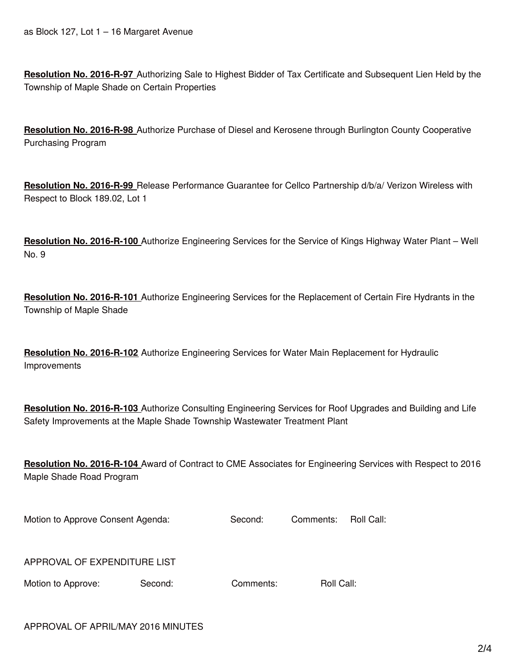**Resolution No. 2016-R-97** Authorizing Sale to Highest Bidder of Tax Certificate and Subsequent Lien Held by the Township of Maple Shade on Certain Properties

**Resolution No. 2016-R-98** Authorize Purchase of Diesel and Kerosene through Burlington County Cooperative Purchasing Program

**Resolution No. 2016-R-99** Release Performance Guarantee for Cellco Partnership d/b/a/ Verizon Wireless with Respect to Block 189.02, Lot 1

**Resolution No. 2016-R-100** Authorize Engineering Services for the Service of Kings Highway Water Plant – Well No. 9

**Resolution No. 2016-R-101** Authorize Engineering Services for the Replacement of Certain Fire Hydrants in the Township of Maple Shade

**Resolution No. 2016-R-102** Authorize Engineering Services for Water Main Replacement for Hydraulic Improvements

**Resolution No. 2016-R-103** Authorize Consulting Engineering Services for Roof Upgrades and Building and Life Safety Improvements at the Maple Shade Township Wastewater Treatment Plant

**Resolution No. 2016-R-104** Award of Contract to CME Associates for Engineering Services with Respect to 2016 Maple Shade Road Program

| Motion to Approve Consent Agenda: | Second: | Comments: Roll Call: |  |
|-----------------------------------|---------|----------------------|--|
|                                   |         |                      |  |

|  |  | APPROVAL OF EXPENDITURE LIST |  |
|--|--|------------------------------|--|
|--|--|------------------------------|--|

| Motion to Approve: | Secon |
|--------------------|-------|
|--------------------|-------|

d: Comments: Roll Call: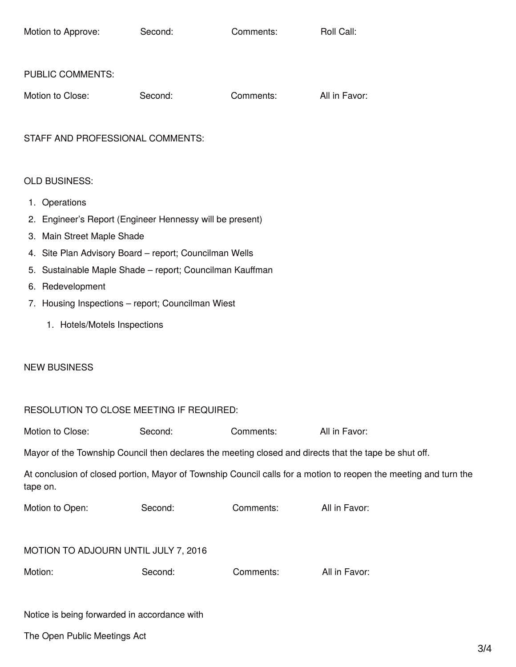| Motion to Approve:      | Second: | Comments: | Roll Call:    |
|-------------------------|---------|-----------|---------------|
|                         |         |           |               |
| <b>PUBLIC COMMENTS:</b> |         |           |               |
| Motion to Close:        | Second: | Comments: | All in Favor: |

STAFF AND PROFESSIONAL COMMENTS:

#### OLD BUSINESS:

- 1. Operations
- 2. Engineer's Report (Engineer Hennessy will be present)
- 3. Main Street Maple Shade
- 4. Site Plan Advisory Board report; Councilman Wells
- 5. Sustainable Maple Shade report; Councilman Kauffman
- 6. Redevelopment
- 7. Housing Inspections report; Councilman Wiest
	- 1. Hotels/Motels Inspections

#### NEW BUSINESS

#### RESOLUTION TO CLOSE MEETING IF REQUIRED:

| Motion to Close: | Second: | Comments: | All in Favor: |
|------------------|---------|-----------|---------------|
|------------------|---------|-----------|---------------|

Mayor of the Township Council then declares the meeting closed and directs that the tape be shut off.

|          | At conclusion of closed portion, Mayor of Township Council calls for a motion to reopen the meeting and turn the |
|----------|------------------------------------------------------------------------------------------------------------------|
| tape on. |                                                                                                                  |

| Motion to Open: | Second: | Comments: | All in Favor: |
|-----------------|---------|-----------|---------------|
|-----------------|---------|-----------|---------------|

#### MOTION TO ADJOURN UNTIL JULY 7, 2016

| Motion: | Second: | Comments: | All in Favor: |
|---------|---------|-----------|---------------|
|         |         |           |               |

#### Notice is being forwarded in accordance with

The Open Public Meetings Act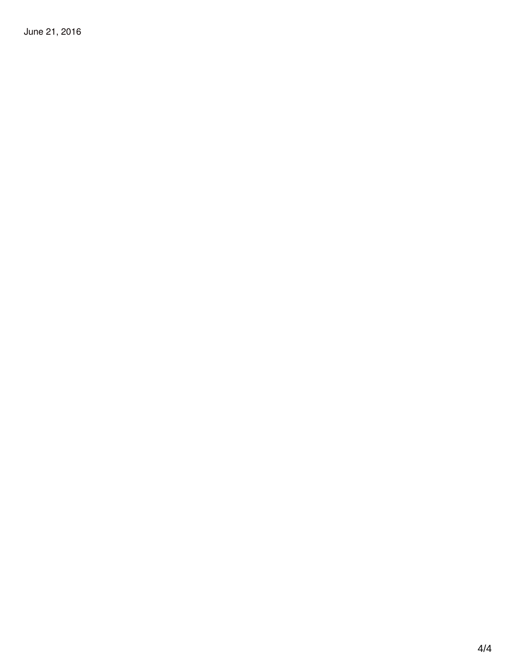June 21, 2016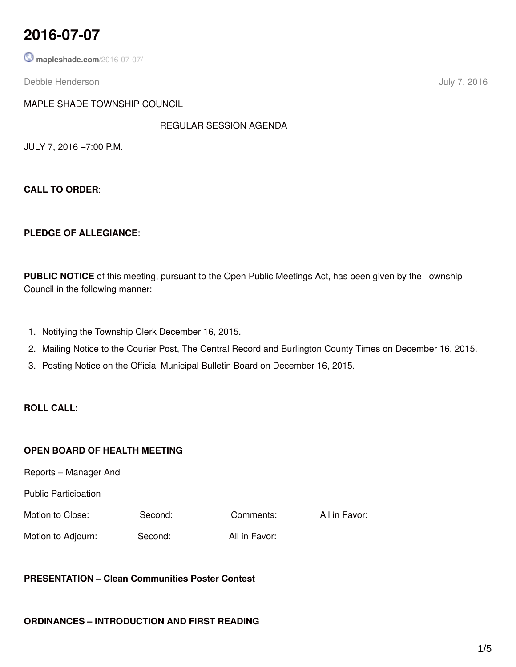## **2016-07-07**

**[mapleshade.com](http://www.mapleshade.com/2016-07-07/)**/2016-07-07/

Debbie Henderson July 7, 2016

MAPLE SHADE TOWNSHIP COUNCIL

REGULAR SESSION AGENDA

JULY 7, 2016 –7:00 P.M.

**CALL TO ORDER**:

#### **PLEDGE OF ALLEGIANCE**:

**PUBLIC NOTICE** of this meeting, pursuant to the Open Public Meetings Act, has been given by the Township Council in the following manner:

- 1. Notifying the Township Clerk December 16, 2015.
- 2. Mailing Notice to the Courier Post, The Central Record and Burlington County Times on December 16, 2015.
- 3. Posting Notice on the Official Municipal Bulletin Board on December 16, 2015.

### **ROLL CALL:**

#### **OPEN BOARD OF HEALTH MEETING**

Reports – Manager Andl

Public Participation

Motion to Close: Second: Comments: All in Favor:

Motion to Adjourn: Second: All in Favor:

## **PRESENTATION – Clean Communities Poster Contest**

#### **ORDINANCES – INTRODUCTION AND FIRST READING**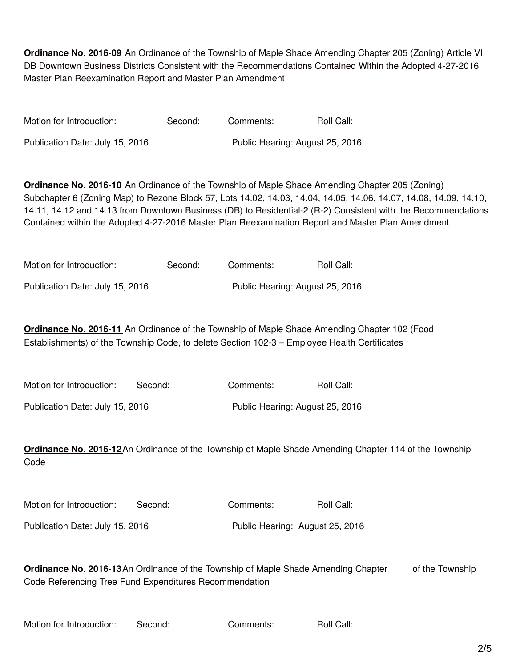**Ordinance No. 2016-09** An Ordinance of the Township of Maple Shade Amending Chapter 205 (Zoning) Article VI DB Downtown Business Districts Consistent with the Recommendations Contained Within the Adopted 4-27-2016 Master Plan Reexamination Report and Master Plan Amendment

| Motion for Introduction:        | Second: | Comments:                       | Roll Call: |
|---------------------------------|---------|---------------------------------|------------|
| Publication Date: July 15, 2016 |         | Public Hearing: August 25, 2016 |            |

**Ordinance No. 2016-10** An Ordinance of the Township of Maple Shade Amending Chapter 205 (Zoning) Subchapter 6 (Zoning Map) to Rezone Block 57, Lots 14.02, 14.03, 14.04, 14.05, 14.06, 14.07, 14.08, 14.09, 14.10, 14.11, 14.12 and 14.13 from Downtown Business (DB) to Residential-2 (R-2) Consistent with the Recommendations Contained within the Adopted 4-27-2016 Master Plan Reexamination Report and Master Plan Amendment

| Motion for Introduction:        | Second: | Comments: | Roll Call:                      |
|---------------------------------|---------|-----------|---------------------------------|
| Publication Date: July 15, 2016 |         |           | Public Hearing: August 25, 2016 |

**Ordinance No. 2016-11** An Ordinance of the Township of Maple Shade Amending Chapter 102 (Food Establishments) of the Township Code, to delete Section 102-3 – Employee Health Certificates

| Motion for Introduction:        | Second: | Comments:                       | Roll Call: |
|---------------------------------|---------|---------------------------------|------------|
| Publication Date: July 15, 2016 |         | Public Hearing: August 25, 2016 |            |

**Ordinance No. 2016-12**An Ordinance of the Township of Maple Shade Amending Chapter 114 of the Township Code

| Motion for Introduction:        | Second: | Comments: | Roll Call:                      |
|---------------------------------|---------|-----------|---------------------------------|
| Publication Date: July 15, 2016 |         |           | Public Hearing: August 25, 2016 |

**Ordinance No. 2016-13**An Ordinance of the Township of Maple Shade Amending Chapter of the Township Code Referencing Tree Fund Expenditures Recommendation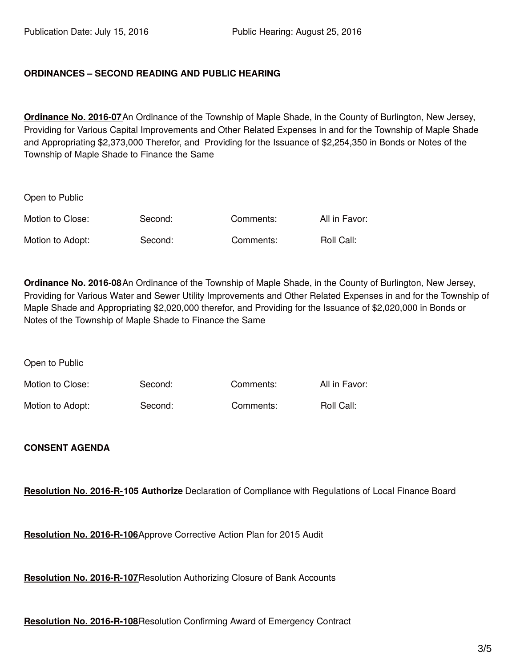### **ORDINANCES – SECOND READING AND PUBLIC HEARING**

**Ordinance No. 2016-07**An Ordinance of the Township of Maple Shade, in the County of Burlington, New Jersey, Providing for Various Capital Improvements and Other Related Expenses in and for the Township of Maple Shade and Appropriating \$2,373,000 Therefor, and Providing for the Issuance of \$2,254,350 in Bonds or Notes of the Township of Maple Shade to Finance the Same

| Open to Public   |         |           |               |
|------------------|---------|-----------|---------------|
| Motion to Close: | Second: | Comments: | All in Favor: |
| Motion to Adopt: | Second: | Comments: | Roll Call:    |

**Ordinance No. 2016-08**An Ordinance of the Township of Maple Shade, in the County of Burlington, New Jersey, Providing for Various Water and Sewer Utility Improvements and Other Related Expenses in and for the Township of Maple Shade and Appropriating \$2,020,000 therefor, and Providing for the Issuance of \$2,020,000 in Bonds or Notes of the Township of Maple Shade to Finance the Same

Open to Public

| Motion to Close: | Second: | Comments: | All in Favor: |
|------------------|---------|-----------|---------------|
| Motion to Adopt: | Second: | Comments: | Roll Call:    |

#### **CONSENT AGENDA**

**Resolution No. 2016-R-105 Authorize** Declaration of Compliance with Regulations of Local Finance Board

**Resolution No. 2016-R-106**Approve Corrective Action Plan for 2015 Audit

**Resolution No. 2016-R-107**Resolution Authorizing Closure of Bank Accounts

**Resolution No. 2016-R-108**Resolution Confirming Award of Emergency Contract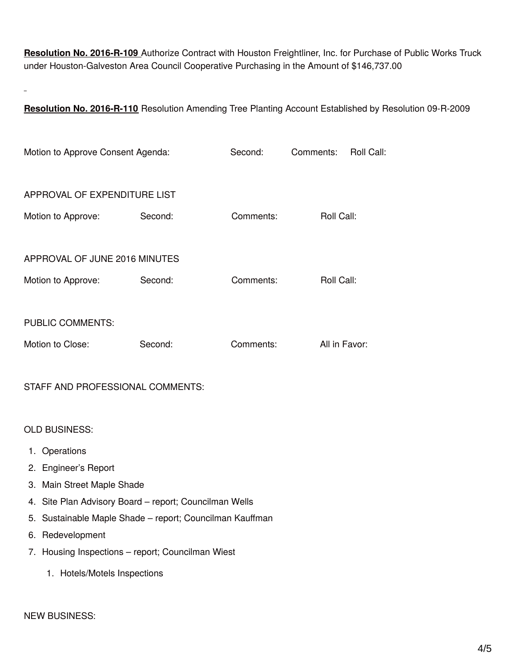**Resolution No. 2016-R-109** Authorize Contract with Houston Freightliner, Inc. for Purchase of Public Works Truck under Houston-Galveston Area Council Cooperative Purchasing in the Amount of \$146,737.00

 $\overline{a}$ 

**Resolution No. 2016-R-110** Resolution Amending Tree Planting Account Established by Resolution 09-R-2009

| Motion to Approve Consent Agenda: |         | Second:   | Comments:     | Roll Call: |
|-----------------------------------|---------|-----------|---------------|------------|
| APPROVAL OF EXPENDITURE LIST      |         |           |               |            |
| Motion to Approve:                | Second: | Comments: | Roll Call:    |            |
| APPROVAL OF JUNE 2016 MINUTES     |         |           |               |            |
| Motion to Approve:                | Second: | Comments: | Roll Call:    |            |
| <b>PUBLIC COMMENTS:</b>           |         |           |               |            |
| Motion to Close:                  | Second: | Comments: | All in Favor: |            |

STAFF AND PROFESSIONAL COMMENTS:

OLD BUSINESS:

- 1. Operations
- 2. Engineer's Report
- 3. Main Street Maple Shade
- 4. Site Plan Advisory Board report; Councilman Wells
- 5. Sustainable Maple Shade report; Councilman Kauffman
- 6. Redevelopment
- 7. Housing Inspections report; Councilman Wiest
	- 1. Hotels/Motels Inspections

#### NEW BUSINESS: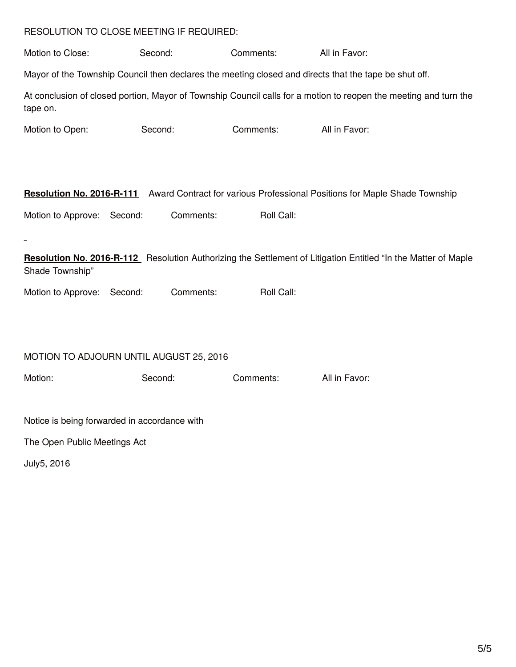#### RESOLUTION TO CLOSE MEETING IF REQUIRED:

Motion to Close: Second: Comments: All in Favor: Mayor of the Township Council then declares the meeting closed and directs that the tape be shut off. At conclusion of closed portion, Mayor of Township Council calls for a motion to reopen the meeting and turn the tape on. Motion to Open: Second: Comments: All in Favor: **Resolution No. 2016-R-111** Award Contract for various Professional Positions for Maple Shade Township Motion to Approve: Second: Comments: Roll Call: **Resolution No. 2016-R-112** Resolution Authorizing the Settlement of Litigation Entitled "In the Matter of Maple Shade Township" Motion to Approve: Second: Comments: Roll Call: MOTION TO ADJOURN UNTIL AUGUST 25, 2016 Motion: Second: Comments: All in Favor: Notice is being forwarded in accordance with The Open Public Meetings Act July5, 2016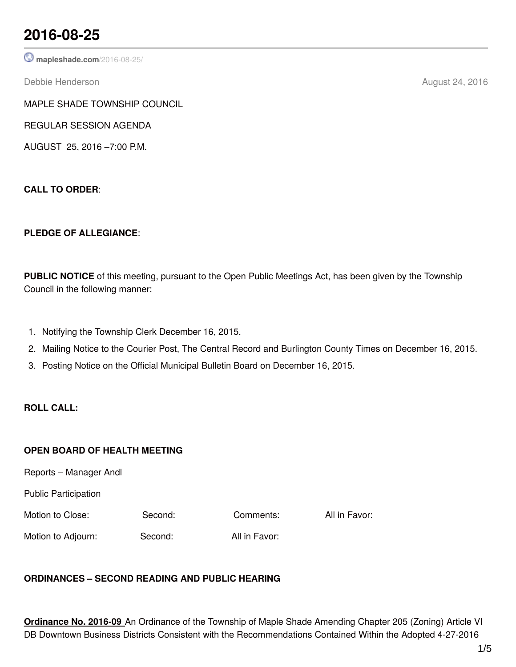## **2016-08-25**

**[mapleshade.com](http://www.mapleshade.com/2016-08-25/)**/2016-08-25/

Debbie Henderson **August 24, 2016** 

MAPLE SHADE TOWNSHIP COUNCIL

REGULAR SESSION AGENDA

AUGUST 25, 2016 –7:00 P.M.

**CALL TO ORDER**:

## **PLEDGE OF ALLEGIANCE**:

**PUBLIC NOTICE** of this meeting, pursuant to the Open Public Meetings Act, has been given by the Township Council in the following manner:

- 1. Notifying the Township Clerk December 16, 2015.
- 2. Mailing Notice to the Courier Post, The Central Record and Burlington County Times on December 16, 2015.
- 3. Posting Notice on the Official Municipal Bulletin Board on December 16, 2015.

## **ROLL CALL:**

## **OPEN BOARD OF HEALTH MEETING**

Reports – Manager Andl

Public Participation

Motion to Close: Second: Comments: All in Favor:

Motion to Adjourn: Second: All in Favor:

## **ORDINANCES – SECOND READING AND PUBLIC HEARING**

**Ordinance No. 2016-09** An Ordinance of the Township of Maple Shade Amending Chapter 205 (Zoning) Article VI DB Downtown Business Districts Consistent with the Recommendations Contained Within the Adopted 4-27-2016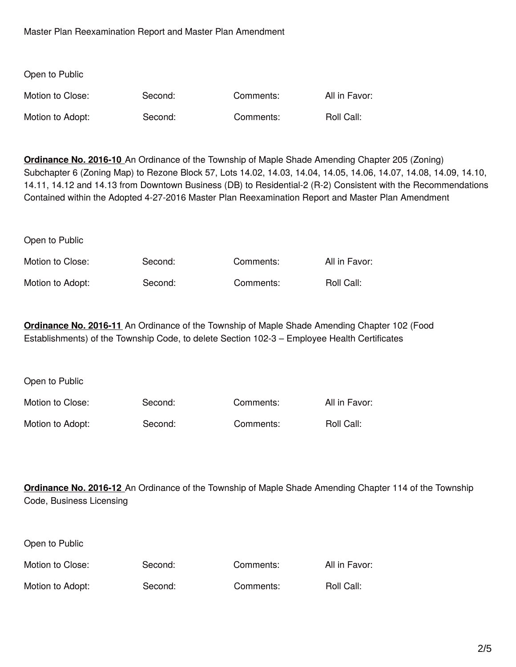Master Plan Reexamination Report and Master Plan Amendment

Open to Public

| Open to Public   |         |           |               |
|------------------|---------|-----------|---------------|
| Motion to Close: | Second: | Comments: | All in Favor: |
| Motion to Adopt: | Second: | Comments: | Roll Call:    |

**Ordinance No. 2016-10** An Ordinance of the Township of Maple Shade Amending Chapter 205 (Zoning) Subchapter 6 (Zoning Map) to Rezone Block 57, Lots 14.02, 14.03, 14.04, 14.05, 14.06, 14.07, 14.08, 14.09, 14.10, 14.11, 14.12 and 14.13 from Downtown Business (DB) to Residential-2 (R-2) Consistent with the Recommendations Contained within the Adopted 4-27-2016 Master Plan Reexamination Report and Master Plan Amendment

| Motion to Close: | Second: | Comments: | All in Favor: |
|------------------|---------|-----------|---------------|
| Motion to Adopt: | Second: | Comments: | Roll Call:    |

**Ordinance No. 2016-11** An Ordinance of the Township of Maple Shade Amending Chapter 102 (Food Establishments) of the Township Code, to delete Section 102-3 – Employee Health Certificates

| Open to Public   |         |           |               |
|------------------|---------|-----------|---------------|
| Motion to Close: | Second: | Comments: | All in Favor: |
| Motion to Adopt: | Second: | Comments: | Roll Call:    |

**Ordinance No. 2016-12** An Ordinance of the Township of Maple Shade Amending Chapter 114 of the Township Code, Business Licensing

| Open to Public   |         |           |               |
|------------------|---------|-----------|---------------|
| Motion to Close: | Second: | Comments: | All in Favor: |
| Motion to Adopt: | Second: | Comments: | Roll Call:    |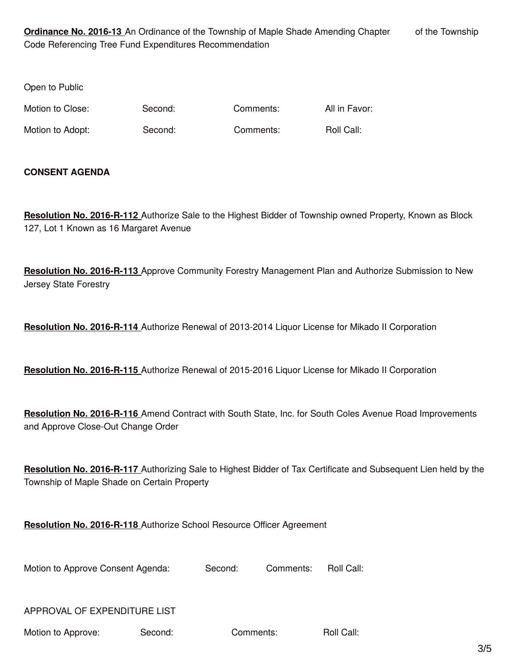**Ordinance No. 2016-13** An Ordinance of the Township of Maple Shade Amending Chapter of the Township Code Referencing Tree Fund Expenditures Recommendation

Open to Public

Motion to Close: Second: Comments: All in Favor:

Motion to Adopt: Second: Comments: Roll Call:

### **CONSENT AGENDA**

**Resolution No. 2016-R-112** Authorize Sale to the Highest Bidder of Township owned Property, Known as Block 127, Lot 1 Known as 16 Margaret Avenue

**Resolution No. 2016-R-113** Approve Community Forestry Management Plan and Authorize Submission to New Jersey State Forestry

**Resolution No. 2016-R-114** Authorize Renewal of 2013-2014 Liquor License for Mikado II Corporation

**Resolution No. 2016-R-115** Authorize Renewal of 2015-2016 Liquor License for Mikado II Corporation

**Resolution No. 2016-R-116** Amend Contract with South State, Inc. for South Coles Avenue Road Improvements and Approve Close-Out Change Order

**Resolution No. 2016-R-117** Authorizing Sale to Highest Bidder of Tax Certificate and Subsequent Lien held by the Township of Maple Shade on Certain Property

**Resolution No. 2016-R-118** Authorize School Resource Officer Agreement

Motion to Approve Consent Agenda: Second: Comments: Roll Call:

APPROVAL OF EXPENDITURE LIST

Motion to Approve: Second: Comments: Roll Call: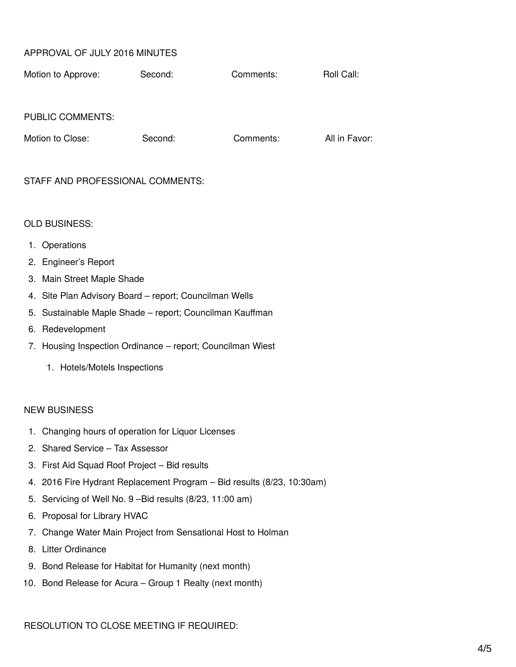### APPROVAL OF JULY 2016 MINUTES

| Motion to Approve: | Second: | Comments: | Roll Call: |
|--------------------|---------|-----------|------------|
|--------------------|---------|-----------|------------|

#### PUBLIC COMMENTS:

| Motion to Close: |  |  |
|------------------|--|--|
|                  |  |  |

Second: Comments: All in Favor:

#### STAFF AND PROFESSIONAL COMMENTS:

#### OLD BUSINESS:

- 1. Operations
- 2. Engineer's Report
- 3. Main Street Maple Shade
- 4. Site Plan Advisory Board report; Councilman Wells
- 5. Sustainable Maple Shade report; Councilman Kauffman
- 6. Redevelopment
- 7. Housing Inspection Ordinance report; Councilman Wiest
	- 1. Hotels/Motels Inspections

#### NEW BUSINESS

- 1. Changing hours of operation for Liquor Licenses
- 2. Shared Service Tax Assessor
- 3. First Aid Squad Roof Project Bid results
- 4. 2016 Fire Hydrant Replacement Program Bid results (8/23, 10:30am)
- 5. Servicing of Well No. 9 –Bid results (8/23, 11:00 am)
- 6. Proposal for Library HVAC
- 7. Change Water Main Project from Sensational Host to Holman
- 8. Litter Ordinance
- 9. Bond Release for Habitat for Humanity (next month)
- 10. Bond Release for Acura Group 1 Realty (next month)

RESOLUTION TO CLOSE MEETING IF REQUIRED: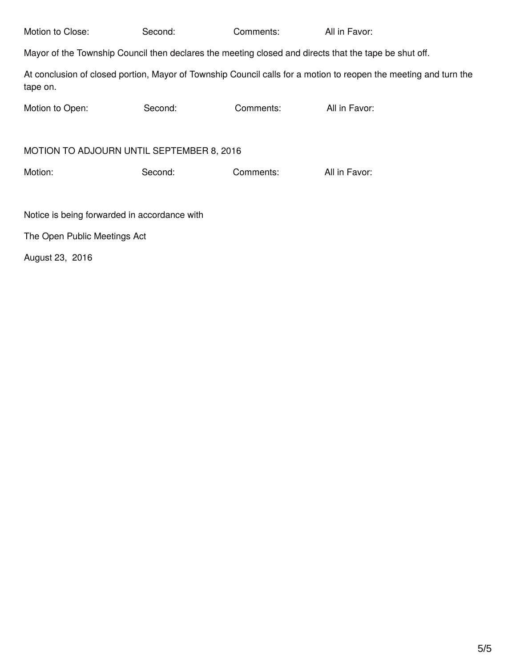| Motion to Close:                                                                                      | Second: | Comments: | All in Favor:                                                                                                    |  |  |
|-------------------------------------------------------------------------------------------------------|---------|-----------|------------------------------------------------------------------------------------------------------------------|--|--|
| Mayor of the Township Council then declares the meeting closed and directs that the tape be shut off. |         |           |                                                                                                                  |  |  |
| tape on.                                                                                              |         |           | At conclusion of closed portion, Mayor of Township Council calls for a motion to reopen the meeting and turn the |  |  |
| Motion to Open:                                                                                       | Second: | Comments: | All in Favor:                                                                                                    |  |  |
|                                                                                                       |         |           |                                                                                                                  |  |  |
| MOTION TO ADJOURN UNTIL SEPTEMBER 8, 2016                                                             |         |           |                                                                                                                  |  |  |
| Motion:                                                                                               | Second: | Comments: | All in Favor:                                                                                                    |  |  |
|                                                                                                       |         |           |                                                                                                                  |  |  |
| Notice is being forwarded in accordance with                                                          |         |           |                                                                                                                  |  |  |
| The Open Public Meetings Act                                                                          |         |           |                                                                                                                  |  |  |

August 23, 2016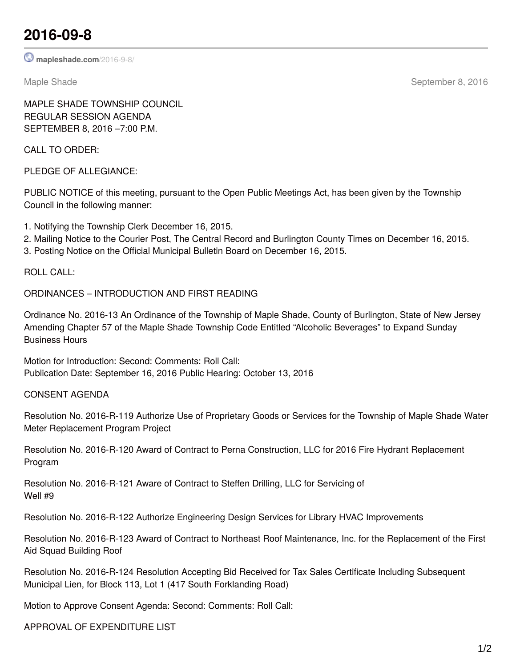## **2016-09-8**

**[mapleshade.com](http://www.mapleshade.com/2016-9-8/)**/2016-9-8/

Maple Shade September 8, 2016

MAPLE SHADE TOWNSHIP COUNCIL REGULAR SESSION AGENDA SEPTEMBER 8, 2016 –7:00 P.M.

CALL TO ORDER:

PLEDGE OF ALLEGIANCE:

PUBLIC NOTICE of this meeting, pursuant to the Open Public Meetings Act, has been given by the Township Council in the following manner:

1. Notifying the Township Clerk December 16, 2015.

2. Mailing Notice to the Courier Post, The Central Record and Burlington County Times on December 16, 2015.

3. Posting Notice on the Official Municipal Bulletin Board on December 16, 2015.

ROLL CALL:

ORDINANCES – INTRODUCTION AND FIRST READING

Ordinance No. 2016-13 An Ordinance of the Township of Maple Shade, County of Burlington, State of New Jersey Amending Chapter 57 of the Maple Shade Township Code Entitled "Alcoholic Beverages" to Expand Sunday Business Hours

Motion for Introduction: Second: Comments: Roll Call: Publication Date: September 16, 2016 Public Hearing: October 13, 2016

CONSENT AGENDA

Resolution No. 2016-R-119 Authorize Use of Proprietary Goods or Services for the Township of Maple Shade Water Meter Replacement Program Project

Resolution No. 2016-R-120 Award of Contract to Perna Construction, LLC for 2016 Fire Hydrant Replacement Program

Resolution No. 2016-R-121 Aware of Contract to Steffen Drilling, LLC for Servicing of Well #9

Resolution No. 2016-R-122 Authorize Engineering Design Services for Library HVAC Improvements

Resolution No. 2016-R-123 Award of Contract to Northeast Roof Maintenance, Inc. for the Replacement of the First Aid Squad Building Roof

Resolution No. 2016-R-124 Resolution Accepting Bid Received for Tax Sales Certificate Including Subsequent Municipal Lien, for Block 113, Lot 1 (417 South Forklanding Road)

Motion to Approve Consent Agenda: Second: Comments: Roll Call:

APPROVAL OF EXPENDITURE LIST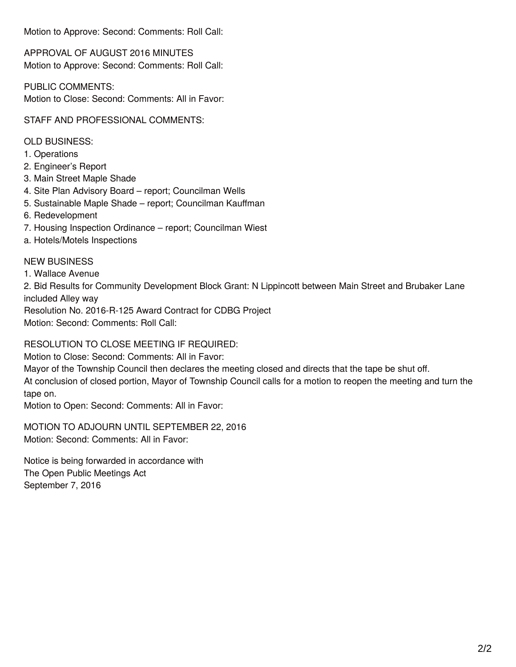Motion to Approve: Second: Comments: Roll Call:

APPROVAL OF AUGUST 2016 MINUTES Motion to Approve: Second: Comments: Roll Call:

PUBLIC COMMENTS: Motion to Close: Second: Comments: All in Favor:

STAFF AND PROFESSIONAL COMMENTS:

OLD BUSINESS:

- 1. Operations
- 2. Engineer's Report
- 3. Main Street Maple Shade
- 4. Site Plan Advisory Board report; Councilman Wells
- 5. Sustainable Maple Shade report; Councilman Kauffman
- 6. Redevelopment
- 7. Housing Inspection Ordinance report; Councilman Wiest
- a. Hotels/Motels Inspections

## NEW BUSINESS

1. Wallace Avenue

2. Bid Results for Community Development Block Grant: N Lippincott between Main Street and Brubaker Lane included Alley way

Resolution No. 2016-R-125 Award Contract for CDBG Project Motion: Second: Comments: Roll Call:

RESOLUTION TO CLOSE MEETING IF REQUIRED:

Motion to Close: Second: Comments: All in Favor:

Mayor of the Township Council then declares the meeting closed and directs that the tape be shut off.

At conclusion of closed portion, Mayor of Township Council calls for a motion to reopen the meeting and turn the tape on.

Motion to Open: Second: Comments: All in Favor:

MOTION TO ADJOURN UNTIL SEPTEMBER 22, 2016 Motion: Second: Comments: All in Favor:

Notice is being forwarded in accordance with The Open Public Meetings Act September 7, 2016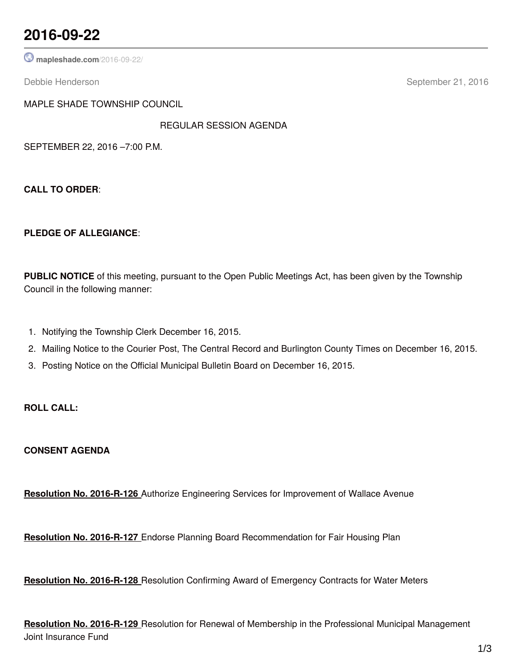## **2016-09-22**

**[mapleshade.com](http://www.mapleshade.com/2016-09-22/)**/2016-09-22/

Debbie Henderson September 21, 2016

MAPLE SHADE TOWNSHIP COUNCIL

REGULAR SESSION AGENDA

SEPTEMBER 22, 2016 –7:00 P.M.

**CALL TO ORDER**:

#### **PLEDGE OF ALLEGIANCE**:

**PUBLIC NOTICE** of this meeting, pursuant to the Open Public Meetings Act, has been given by the Township Council in the following manner:

- 1. Notifying the Township Clerk December 16, 2015.
- 2. Mailing Notice to the Courier Post, The Central Record and Burlington County Times on December 16, 2015.
- 3. Posting Notice on the Official Municipal Bulletin Board on December 16, 2015.

### **ROLL CALL:**

**CONSENT AGENDA**

**Resolution No. 2016-R-126** Authorize Engineering Services for Improvement of Wallace Avenue

**Resolution No. 2016-R-127** Endorse Planning Board Recommendation for Fair Housing Plan

**Resolution No. 2016-R-128** Resolution Confirming Award of Emergency Contracts for Water Meters

**Resolution No. 2016-R-129** Resolution for Renewal of Membership in the Professional Municipal Management Joint Insurance Fund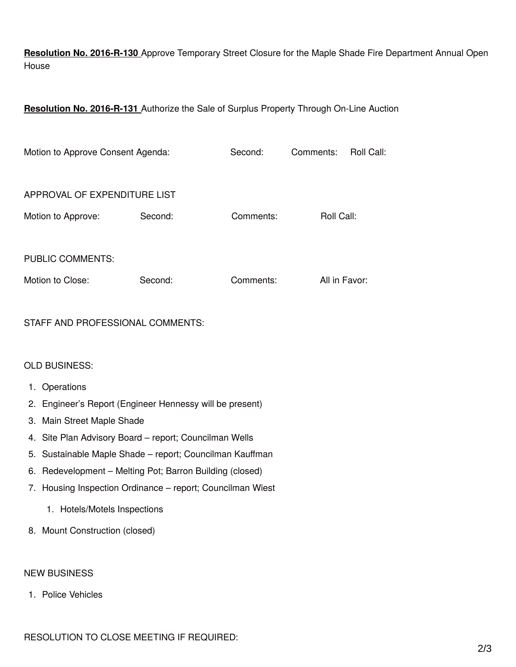**Resolution No. 2016-R-130** Approve Temporary Street Closure for the Maple Shade Fire Department Annual Open House

**Resolution No. 2016-R-131** Authorize the Sale of Surplus Property Through On-Line Auction

| Motion to Approve Consent Agenda: |         | Second:   | Comments:     | Roll Call: |
|-----------------------------------|---------|-----------|---------------|------------|
| APPROVAL OF EXPENDITURE LIST      |         |           |               |            |
| Motion to Approve:                | Second: | Comments: | Roll Call:    |            |
| <b>PUBLIC COMMENTS:</b>           |         |           |               |            |
| Motion to Close:                  | Second: | Comments: | All in Favor: |            |

## STAFF AND PROFESSIONAL COMMENTS:

#### OLD BUSINESS:

- 1. Operations
- 2. Engineer's Report (Engineer Hennessy will be present)
- 3. Main Street Maple Shade
- 4. Site Plan Advisory Board report; Councilman Wells
- 5. Sustainable Maple Shade report; Councilman Kauffman
- 6. Redevelopment Melting Pot; Barron Building (closed)
- 7. Housing Inspection Ordinance report; Councilman Wiest
	- 1. Hotels/Motels Inspections
- 8. Mount Construction (closed)

#### NEW BUSINESS

1. Police Vehicles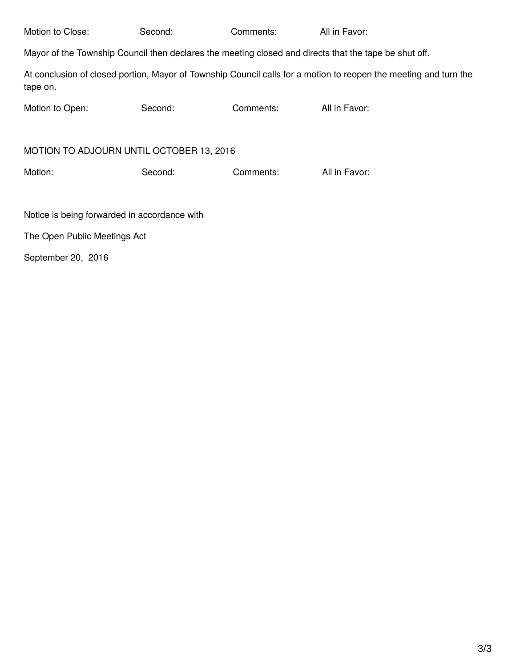| Motion to Close:                                                                                      | Second: | Comments: | All in Favor:                                                                                                    |  |  |
|-------------------------------------------------------------------------------------------------------|---------|-----------|------------------------------------------------------------------------------------------------------------------|--|--|
| Mayor of the Township Council then declares the meeting closed and directs that the tape be shut off. |         |           |                                                                                                                  |  |  |
| tape on.                                                                                              |         |           | At conclusion of closed portion, Mayor of Township Council calls for a motion to reopen the meeting and turn the |  |  |
| Motion to Open:                                                                                       | Second: | Comments: | All in Favor:                                                                                                    |  |  |
|                                                                                                       |         |           |                                                                                                                  |  |  |
| MOTION TO ADJOURN UNTIL OCTOBER 13, 2016                                                              |         |           |                                                                                                                  |  |  |
| Motion:                                                                                               | Second: | Comments: | All in Favor:                                                                                                    |  |  |
|                                                                                                       |         |           |                                                                                                                  |  |  |
| Notice is being forwarded in accordance with                                                          |         |           |                                                                                                                  |  |  |
| The Open Public Meetings Act                                                                          |         |           |                                                                                                                  |  |  |

September 20, 2016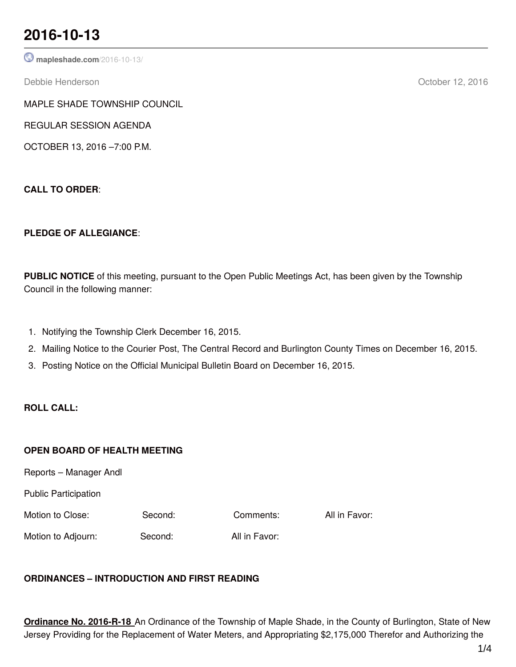# **2016-10-13**

**[mapleshade.com](http://www.mapleshade.com/2016-10-13/)**/2016-10-13/

Debbie Henderson October 12, 2016

MAPLE SHADE TOWNSHIP COUNCIL

REGULAR SESSION AGENDA

OCTOBER 13, 2016 –7:00 P.M.

**CALL TO ORDER**:

## **PLEDGE OF ALLEGIANCE**:

**PUBLIC NOTICE** of this meeting, pursuant to the Open Public Meetings Act, has been given by the Township Council in the following manner:

- 1. Notifying the Township Clerk December 16, 2015.
- 2. Mailing Notice to the Courier Post, The Central Record and Burlington County Times on December 16, 2015.
- 3. Posting Notice on the Official Municipal Bulletin Board on December 16, 2015.

## **ROLL CALL:**

## **OPEN BOARD OF HEALTH MEETING**

Reports – Manager Andl

Public Participation

Motion to Close: Second: Comments: All in Favor:

Motion to Adjourn: Second: All in Favor:

## **ORDINANCES – INTRODUCTION AND FIRST READING**

**Ordinance No. 2016-R-18** An Ordinance of the Township of Maple Shade, in the County of Burlington, State of New Jersey Providing for the Replacement of Water Meters, and Appropriating \$2,175,000 Therefor and Authorizing the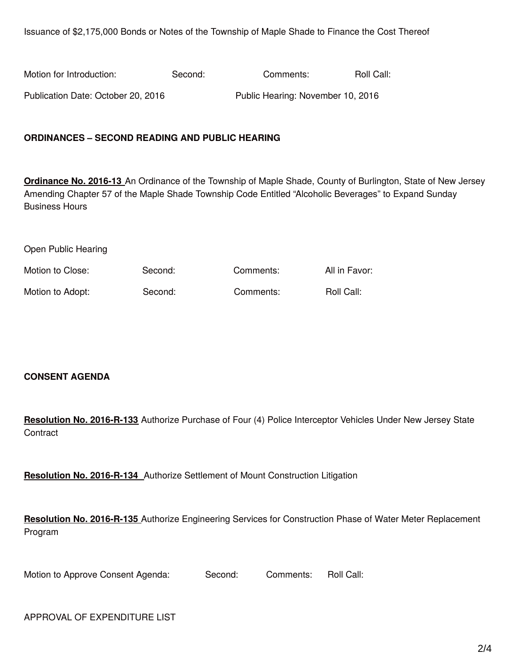Issuance of \$2,175,000 Bonds or Notes of the Township of Maple Shade to Finance the Cost Thereof

| Motion for Introduction:           | Second: | Comments:                         | Roll Call: |
|------------------------------------|---------|-----------------------------------|------------|
| Publication Date: October 20, 2016 |         | Public Hearing: November 10, 2016 |            |

#### **ORDINANCES – SECOND READING AND PUBLIC HEARING**

**Ordinance No. 2016-13** An Ordinance of the Township of Maple Shade, County of Burlington, State of New Jersey Amending Chapter 57 of the Maple Shade Township Code Entitled "Alcoholic Beverages" to Expand Sunday Business Hours

Open Public Hearing

| Motion to Close: | Second: | Comments: | All in Favor: |
|------------------|---------|-----------|---------------|
| Motion to Adopt: | Second: | Comments: | Roll Call:    |

#### **CONSENT AGENDA**

**Resolution No. 2016-R-133** Authorize Purchase of Four (4) Police Interceptor Vehicles Under New Jersey State **Contract** 

**Resolution No. 2016-R-134** Authorize Settlement of Mount Construction Litigation

**Resolution No. 2016-R-135** Authorize Engineering Services for Construction Phase of Water Meter Replacement Program

Motion to Approve Consent Agenda: Second: Comments: Roll Call:

APPROVAL OF EXPENDITURE LIST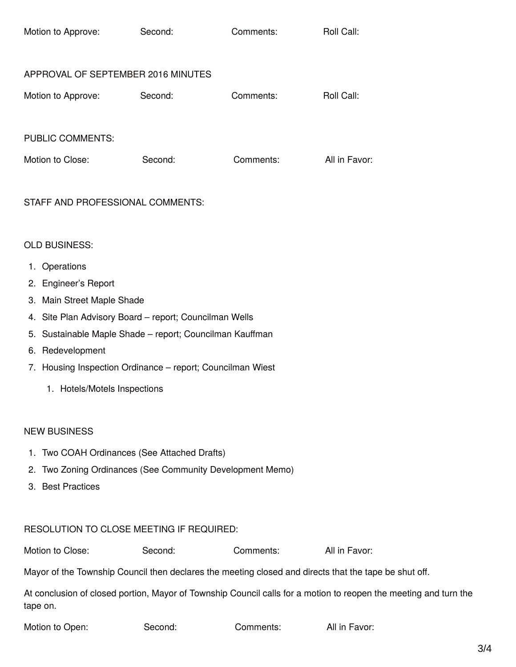| Motion to Approve:                 | Second: | Comments: | Roll Call:    |
|------------------------------------|---------|-----------|---------------|
| APPROVAL OF SEPTEMBER 2016 MINUTES |         |           |               |
| Motion to Approve:                 | Second: | Comments: | Roll Call:    |
| <b>PUBLIC COMMENTS:</b>            |         |           |               |
| Motion to Close:                   | Second: | Comments: | All in Favor: |

## STAFF AND PROFESSIONAL COMMENTS:

#### OLD BUSINESS:

- 1. Operations
- 2. Engineer's Report
- 3. Main Street Maple Shade
- 4. Site Plan Advisory Board report; Councilman Wells
- 5. Sustainable Maple Shade report; Councilman Kauffman
- 6. Redevelopment
- 7. Housing Inspection Ordinance report; Councilman Wiest
	- 1. Hotels/Motels Inspections

#### NEW BUSINESS

- 1. Two COAH Ordinances (See Attached Drafts)
- 2. Two Zoning Ordinances (See Community Development Memo)
- 3. Best Practices

## RESOLUTION TO CLOSE MEETING IF REQUIRED:

Motion to Close: Second: Comments: All in Favor:

Mayor of the Township Council then declares the meeting closed and directs that the tape be shut off.

At conclusion of closed portion, Mayor of Township Council calls for a motion to reopen the meeting and turn the tape on.

Second: Comments: All in Favor: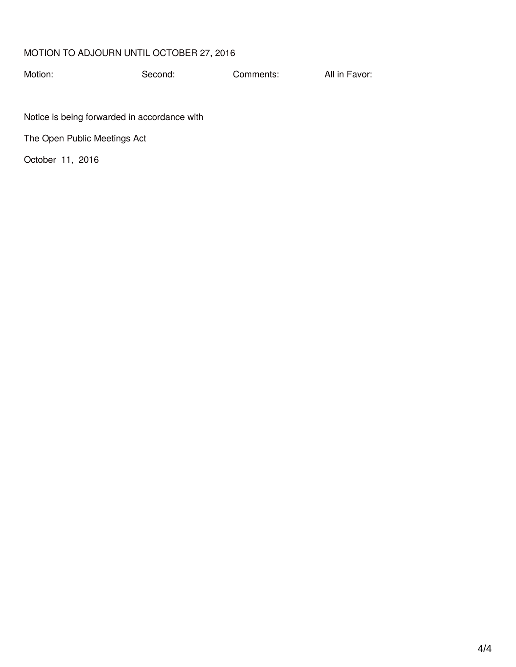## MOTION TO ADJOURN UNTIL OCTOBER 27, 2016

Motion: Second: Comments: All in Favor:

Notice is being forwarded in accordance with

The Open Public Meetings Act

October 11, 2016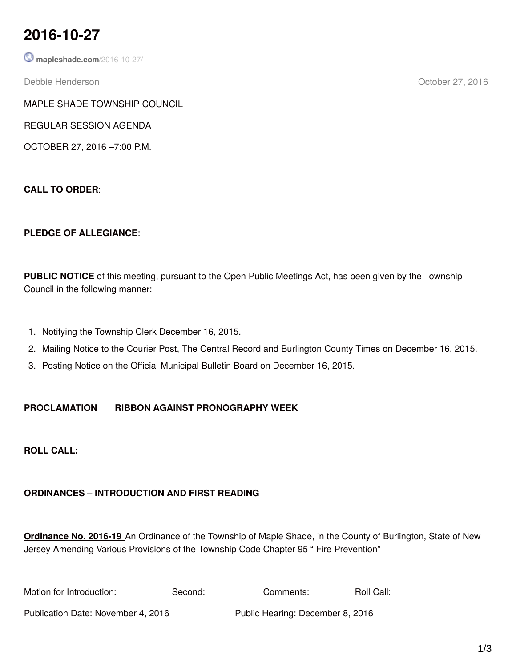# **2016-10-27**

**[mapleshade.com](http://www.mapleshade.com/2016-10-27/)**/2016-10-27/

Debbie Henderson October 27, 2016

MAPLE SHADE TOWNSHIP COUNCIL

REGULAR SESSION AGENDA

OCTOBER 27, 2016 –7:00 P.M.

**CALL TO ORDER**:

## **PLEDGE OF ALLEGIANCE**:

**PUBLIC NOTICE** of this meeting, pursuant to the Open Public Meetings Act, has been given by the Township Council in the following manner:

- 1. Notifying the Township Clerk December 16, 2015.
- 2. Mailing Notice to the Courier Post, The Central Record and Burlington County Times on December 16, 2015.
- 3. Posting Notice on the Official Municipal Bulletin Board on December 16, 2015.

## **PROCLAMATION RIBBON AGAINST PRONOGRAPHY WEEK**

**ROLL CALL:**

## **ORDINANCES – INTRODUCTION AND FIRST READING**

**Ordinance No. 2016-19** An Ordinance of the Township of Maple Shade, in the County of Burlington, State of New Jersey Amending Various Provisions of the Township Code Chapter 95 " Fire Prevention"

| Motion for Introduction:           | Second: | Comments:                        | Roll Call: |
|------------------------------------|---------|----------------------------------|------------|
| Publication Date: November 4, 2016 |         | Public Hearing: December 8, 2016 |            |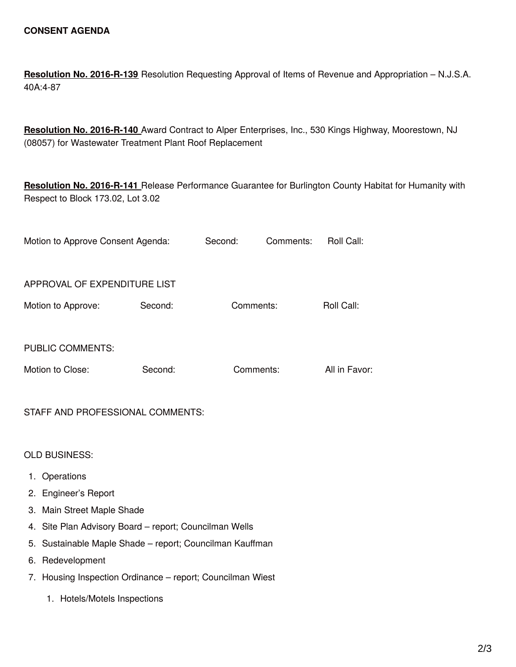**Resolution No. 2016-R-139** Resolution Requesting Approval of Items of Revenue and Appropriation – N.J.S.A. 40A:4-87

**Resolution No. 2016-R-140** Award Contract to Alper Enterprises, Inc., 530 Kings Highway, Moorestown, NJ (08057) for Wastewater Treatment Plant Roof Replacement

**Resolution No. 2016-R-141** Release Performance Guarantee for Burlington County Habitat for Humanity with Respect to Block 173.02, Lot 3.02

|                                                          | Motion to Approve Consent Agenda:                          |         | Second:   | Comments: | Roll Call:    |
|----------------------------------------------------------|------------------------------------------------------------|---------|-----------|-----------|---------------|
|                                                          |                                                            |         |           |           |               |
|                                                          | APPROVAL OF EXPENDITURE LIST                               |         |           |           |               |
|                                                          | Motion to Approve:                                         | Second: | Comments: |           | Roll Call:    |
|                                                          |                                                            |         |           |           |               |
|                                                          | <b>PUBLIC COMMENTS:</b>                                    |         |           |           |               |
|                                                          | Motion to Close:                                           | Second: | Comments: |           | All in Favor: |
|                                                          |                                                            |         |           |           |               |
|                                                          | STAFF AND PROFESSIONAL COMMENTS:                           |         |           |           |               |
|                                                          |                                                            |         |           |           |               |
|                                                          | <b>OLD BUSINESS:</b>                                       |         |           |           |               |
|                                                          | 1. Operations                                              |         |           |           |               |
|                                                          | 2. Engineer's Report                                       |         |           |           |               |
|                                                          | 3. Main Street Maple Shade                                 |         |           |           |               |
|                                                          | 4. Site Plan Advisory Board - report; Councilman Wells     |         |           |           |               |
| 5. Sustainable Maple Shade - report; Councilman Kauffman |                                                            |         |           |           |               |
|                                                          | 6. Redevelopment                                           |         |           |           |               |
|                                                          | 7. Housing Inspection Ordinance - report; Councilman Wiest |         |           |           |               |
|                                                          | 1. Hotels/Motels Inspections                               |         |           |           |               |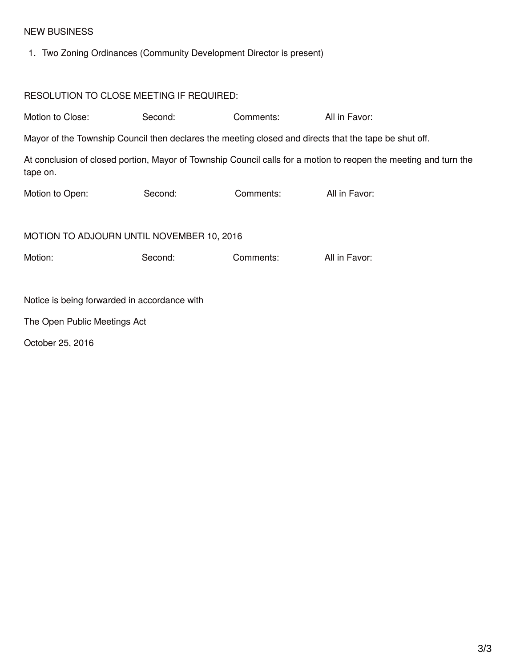## NEW BUSINESS

1. Two Zoning Ordinances (Community Development Director is present)

| RESOLUTION TO CLOSE MEETING IF REQUIRED:                                                              |         |           |                                                                                                                  |  |  |
|-------------------------------------------------------------------------------------------------------|---------|-----------|------------------------------------------------------------------------------------------------------------------|--|--|
| Motion to Close:                                                                                      | Second: | Comments: | All in Favor:                                                                                                    |  |  |
| Mayor of the Township Council then declares the meeting closed and directs that the tape be shut off. |         |           |                                                                                                                  |  |  |
| tape on.                                                                                              |         |           | At conclusion of closed portion, Mayor of Township Council calls for a motion to reopen the meeting and turn the |  |  |
| Motion to Open:                                                                                       | Second: | Comments: | All in Favor:                                                                                                    |  |  |
| MOTION TO ADJOURN UNTIL NOVEMBER 10, 2016                                                             |         |           |                                                                                                                  |  |  |
| Motion:                                                                                               | Second: | Comments: | All in Favor:                                                                                                    |  |  |
| Notice is being forwarded in accordance with                                                          |         |           |                                                                                                                  |  |  |
| The Open Public Meetings Act                                                                          |         |           |                                                                                                                  |  |  |
| October 25, 2016                                                                                      |         |           |                                                                                                                  |  |  |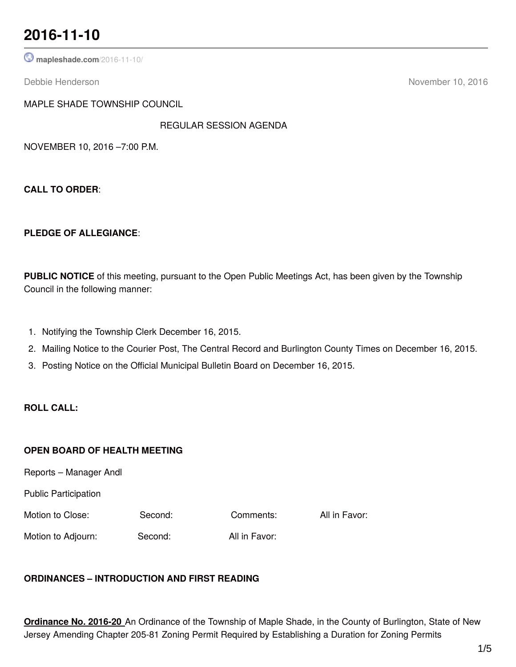## **2016-11-10**

**[mapleshade.com](http://www.mapleshade.com/2016-11-10/)**/2016-11-10/

Debbie Henderson November 10, 2016

MAPLE SHADE TOWNSHIP COUNCIL

REGULAR SESSION AGENDA

NOVEMBER 10, 2016 –7:00 P.M.

**CALL TO ORDER**:

#### **PLEDGE OF ALLEGIANCE**:

**PUBLIC NOTICE** of this meeting, pursuant to the Open Public Meetings Act, has been given by the Township Council in the following manner:

- 1. Notifying the Township Clerk December 16, 2015.
- 2. Mailing Notice to the Courier Post, The Central Record and Burlington County Times on December 16, 2015.
- 3. Posting Notice on the Official Municipal Bulletin Board on December 16, 2015.

### **ROLL CALL:**

#### **OPEN BOARD OF HEALTH MEETING**

Reports – Manager Andl

Public Participation

Motion to Close: Second: Comments: All in Favor:

Motion to Adjourn: Second: All in Favor:

## **ORDINANCES – INTRODUCTION AND FIRST READING**

**Ordinance No. 2016-20** An Ordinance of the Township of Maple Shade, in the County of Burlington, State of New Jersey Amending Chapter 205-81 Zoning Permit Required by Establishing a Duration for Zoning Permits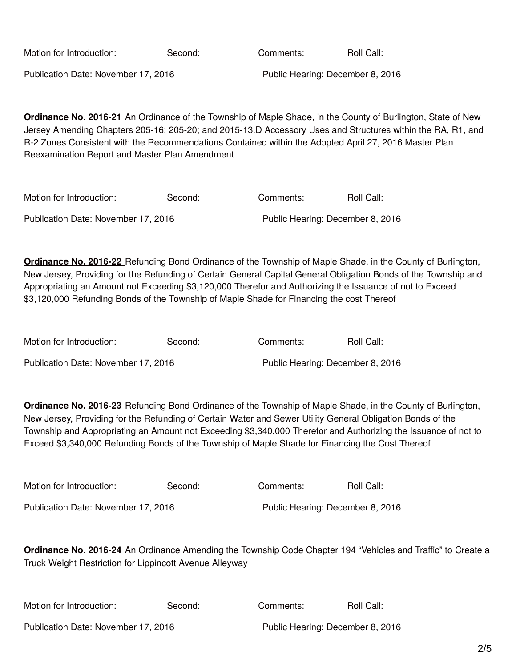| Motion for Introduction:            | Second: | Comments: | Roll Call:                       |  |
|-------------------------------------|---------|-----------|----------------------------------|--|
| Publication Date: November 17, 2016 |         |           | Public Hearing: December 8, 2016 |  |

**Ordinance No. 2016-21** An Ordinance of the Township of Maple Shade, in the County of Burlington, State of New Jersey Amending Chapters 205-16: 205-20; and 2015-13.D Accessory Uses and Structures within the RA, R1, and R-2 Zones Consistent with the Recommendations Contained within the Adopted April 27, 2016 Master Plan Reexamination Report and Master Plan Amendment

| Motion for Introduction:            | Second: | Comments: | Roll Call:                       |
|-------------------------------------|---------|-----------|----------------------------------|
| Publication Date: November 17, 2016 |         |           | Public Hearing: December 8, 2016 |

**Ordinance No. 2016-22** Refunding Bond Ordinance of the Township of Maple Shade, in the County of Burlington, New Jersey, Providing for the Refunding of Certain General Capital General Obligation Bonds of the Township and Appropriating an Amount not Exceeding \$3,120,000 Therefor and Authorizing the Issuance of not to Exceed \$3,120,000 Refunding Bonds of the Township of Maple Shade for Financing the cost Thereof

| Motion for Introduction:            | Second: | Comments: | Roll Call:                       |
|-------------------------------------|---------|-----------|----------------------------------|
| Publication Date: November 17, 2016 |         |           | Public Hearing: December 8, 2016 |

**Ordinance No. 2016-23** Refunding Bond Ordinance of the Township of Maple Shade, in the County of Burlington, New Jersey, Providing for the Refunding of Certain Water and Sewer Utility General Obligation Bonds of the Township and Appropriating an Amount not Exceeding \$3,340,000 Therefor and Authorizing the Issuance of not to Exceed \$3,340,000 Refunding Bonds of the Township of Maple Shade for Financing the Cost Thereof

| Motion for Introduction:            | Second: | Comments: | Roll Call:                       |
|-------------------------------------|---------|-----------|----------------------------------|
| Publication Date: November 17, 2016 |         |           | Public Hearing: December 8, 2016 |

**Ordinance No. 2016-24** An Ordinance Amending the Township Code Chapter 194 "Vehicles and Traffic" to Create a Truck Weight Restriction for Lippincott Avenue Alleyway

| Motion for Introduction:            | Second: | Comments: | Roll Call:                       |
|-------------------------------------|---------|-----------|----------------------------------|
| Publication Date: November 17, 2016 |         |           | Public Hearing: December 8, 2016 |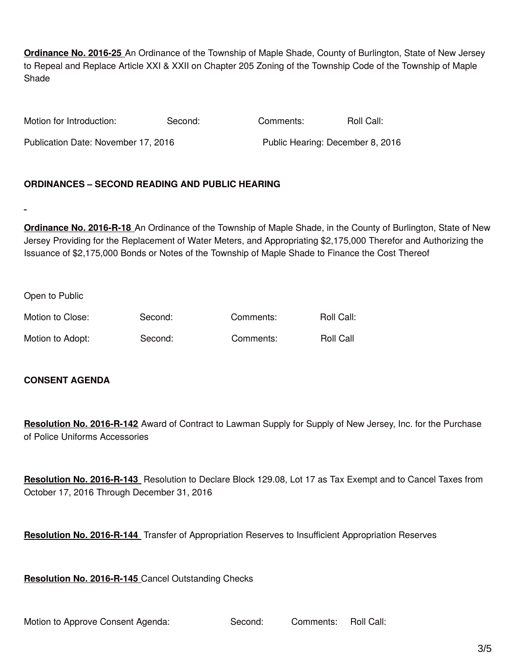**Ordinance No. 2016-25** An Ordinance of the Township of Maple Shade, County of Burlington, State of New Jersey to Repeal and Replace Article XXI & XXII on Chapter 205 Zoning of the Township Code of the Township of Maple Shade

| Motion for Introduction:            | Second: | Comments: | Roll Call:                       |
|-------------------------------------|---------|-----------|----------------------------------|
| Publication Date: November 17, 2016 |         |           | Public Hearing: December 8, 2016 |

#### **ORDINANCES – SECOND READING AND PUBLIC HEARING**

**Ordinance No. 2016-R-18** An Ordinance of the Township of Maple Shade, in the County of Burlington, State of New Jersey Providing for the Replacement of Water Meters, and Appropriating \$2,175,000 Therefor and Authorizing the Issuance of \$2,175,000 Bonds or Notes of the Township of Maple Shade to Finance the Cost Thereof

Open to Public

| Motion to Close: | Second: | Comments: | Roll Call:       |
|------------------|---------|-----------|------------------|
| Motion to Adopt: | Second: | Comments: | <b>Roll Call</b> |

#### **CONSENT AGENDA**

**Resolution No. 2016-R-142** Award of Contract to Lawman Supply for Supply of New Jersey, Inc. for the Purchase of Police Uniforms Accessories

**Resolution No. 2016-R-143** Resolution to Declare Block 129.08, Lot 17 as Tax Exempt and to Cancel Taxes from October 17, 2016 Through December 31, 2016

**Resolution No. 2016-R-144** Transfer of Appropriation Reserves to Insufficient Appropriation Reserves

**Resolution No. 2016-R-145** Cancel Outstanding Checks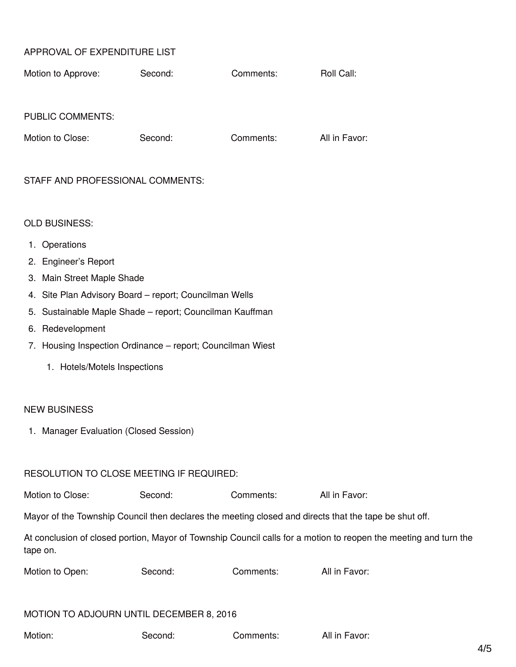### APPROVAL OF EXPENDITURE LIST

| Motion to Approve:      | Second: | Comments: | Roll Call: |
|-------------------------|---------|-----------|------------|
|                         |         |           |            |
|                         |         |           |            |
| <b>PUBLIC COMMENTS:</b> |         |           |            |

| Motion to Close: | Second: | Comments: | All in Favor: |
|------------------|---------|-----------|---------------|
|                  |         |           |               |

#### STAFF AND PROFESSIONAL COMMENTS:

#### OLD BUSINESS:

- 1. Operations
- 2. Engineer's Report
- 3. Main Street Maple Shade
- 4. Site Plan Advisory Board report; Councilman Wells
- 5. Sustainable Maple Shade report; Councilman Kauffman
- 6. Redevelopment
- 7. Housing Inspection Ordinance report; Councilman Wiest
	- 1. Hotels/Motels Inspections

#### NEW BUSINESS

1. Manager Evaluation (Closed Session)

#### RESOLUTION TO CLOSE MEETING IF REQUIRED:

| Motion to Close:<br>All in Favor:<br>Second:<br>Comments: |
|-----------------------------------------------------------|
|-----------------------------------------------------------|

Mayor of the Township Council then declares the meeting closed and directs that the tape be shut off.

At conclusion of closed portion, Mayor of Township Council calls for a motion to reopen the meeting and turn the tape on.

| Motion to Open: | Second: | Comments: | All in Favor: |
|-----------------|---------|-----------|---------------|
|                 |         |           |               |

#### MOTION TO ADJOURN UNTIL DECEMBER 8, 2016

Motion: Second: Comments: All in Favor: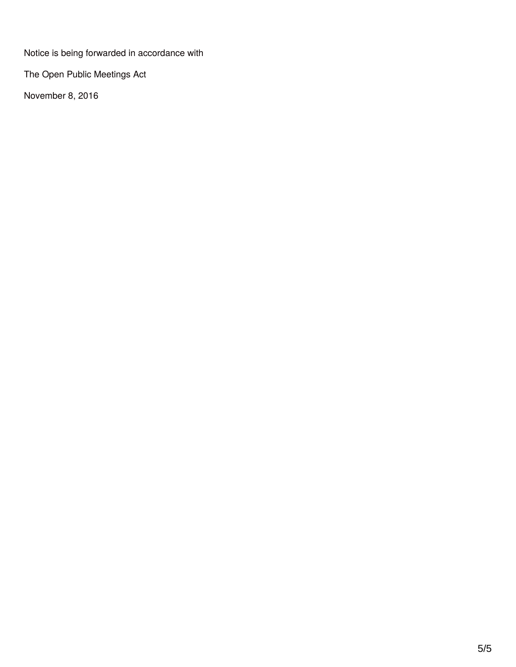Notice is being forwarded in accordance with

The Open Public Meetings Act

November 8, 2016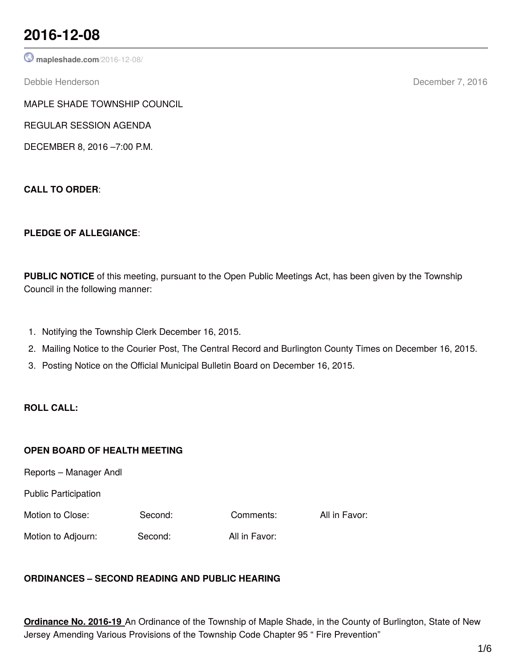## **2016-12-08**

**[mapleshade.com](http://www.mapleshade.com/2016-12-08/)**/2016-12-08/

Debbie Henderson December 7, 2016

MAPLE SHADE TOWNSHIP COUNCIL

REGULAR SESSION AGENDA

DECEMBER 8, 2016 –7:00 P.M.

**CALL TO ORDER**:

## **PLEDGE OF ALLEGIANCE**:

**PUBLIC NOTICE** of this meeting, pursuant to the Open Public Meetings Act, has been given by the Township Council in the following manner:

- 1. Notifying the Township Clerk December 16, 2015.
- 2. Mailing Notice to the Courier Post, The Central Record and Burlington County Times on December 16, 2015.
- 3. Posting Notice on the Official Municipal Bulletin Board on December 16, 2015.

## **ROLL CALL:**

## **OPEN BOARD OF HEALTH MEETING**

Reports – Manager Andl

Public Participation

Motion to Close: Second: Comments: All in Favor:

Motion to Adjourn: Second: All in Favor:

## **ORDINANCES – SECOND READING AND PUBLIC HEARING**

**Ordinance No. 2016-19** An Ordinance of the Township of Maple Shade, in the County of Burlington, State of New Jersey Amending Various Provisions of the Township Code Chapter 95 " Fire Prevention"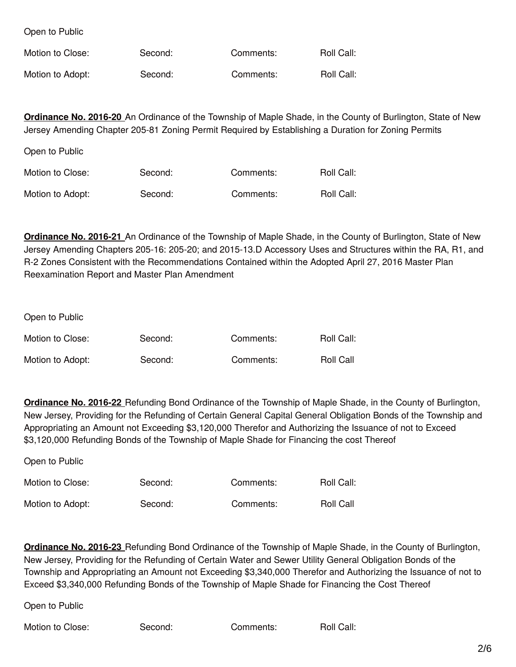Open to Public

Open to Public

| Motion to Close: | Second: | Comments: | Roll Call: |
|------------------|---------|-----------|------------|
| Motion to Adopt: | Second: | Comments: | Roll Call: |

**Ordinance No. 2016-20** An Ordinance of the Township of Maple Shade, in the County of Burlington, State of New Jersey Amending Chapter 205-81 Zoning Permit Required by Establishing a Duration for Zoning Permits

| ODEIT TO L'ADIIC |         |           |            |
|------------------|---------|-----------|------------|
| Motion to Close: | Second: | Comments: | Roll Call: |
| Motion to Adopt: | Second: | Comments: | Roll Call: |

**Ordinance No. 2016-21** An Ordinance of the Township of Maple Shade, in the County of Burlington, State of New Jersey Amending Chapters 205-16: 205-20; and 2015-13.D Accessory Uses and Structures within the RA, R1, and R-2 Zones Consistent with the Recommendations Contained within the Adopted April 27, 2016 Master Plan Reexamination Report and Master Plan Amendment

Open to Public

| Motion to Close: | Second: | Comments: | Roll Call:       |
|------------------|---------|-----------|------------------|
| Motion to Adopt: | Second: | Comments: | <b>Roll Call</b> |

**Ordinance No. 2016-22** Refunding Bond Ordinance of the Township of Maple Shade, in the County of Burlington, New Jersey, Providing for the Refunding of Certain General Capital General Obligation Bonds of the Township and Appropriating an Amount not Exceeding \$3,120,000 Therefor and Authorizing the Issuance of not to Exceed \$3,120,000 Refunding Bonds of the Township of Maple Shade for Financing the cost Thereof

| Open to Public   |         |           |                  |
|------------------|---------|-----------|------------------|
| Motion to Close: | Second: | Comments: | Roll Call:       |
| Motion to Adopt: | Second: | Comments: | <b>Roll Call</b> |

**Ordinance No. 2016-23** Refunding Bond Ordinance of the Township of Maple Shade, in the County of Burlington, New Jersey, Providing for the Refunding of Certain Water and Sewer Utility General Obligation Bonds of the Township and Appropriating an Amount not Exceeding \$3,340,000 Therefor and Authorizing the Issuance of not to Exceed \$3,340,000 Refunding Bonds of the Township of Maple Shade for Financing the Cost Thereof

Open to Public

Motion to Close: Second: Comments: Roll Call: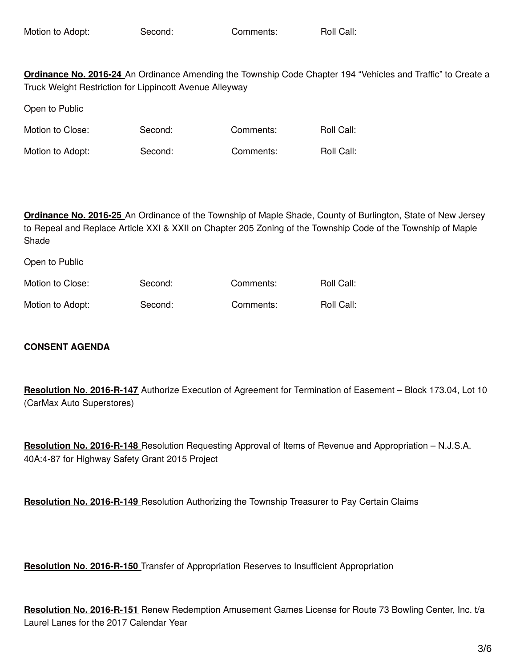**Ordinance No. 2016-24** An Ordinance Amending the Township Code Chapter 194 "Vehicles and Traffic" to Create a Truck Weight Restriction for Lippincott Avenue Alleyway

Open to Public

Motion to Close: Second: Comments: Roll Call:

Motion to Adopt: Second: Comments: Roll Call:

**Ordinance No. 2016-25** An Ordinance of the Township of Maple Shade, County of Burlington, State of New Jersey to Repeal and Replace Article XXI & XXII on Chapter 205 Zoning of the Township Code of the Township of Maple Shade

| Motion to Close: | Second: | Comments: | Roll Call: |
|------------------|---------|-----------|------------|
| Motion to Adopt: | Second: | Comments: | Roll Call: |

## **CONSENT AGENDA**

Open to Public

**Resolution No. 2016-R-147** Authorize Execution of Agreement for Termination of Easement – Block 173.04, Lot 10 (CarMax Auto Superstores)

**Resolution No. 2016-R-148** Resolution Requesting Approval of Items of Revenue and Appropriation – N.J.S.A. 40A:4-87 for Highway Safety Grant 2015 Project

**Resolution No. 2016-R-149** Resolution Authorizing the Township Treasurer to Pay Certain Claims

**Resolution No. 2016-R-150** Transfer of Appropriation Reserves to Insufficient Appropriation

**Resolution No. 2016-R-151** Renew Redemption Amusement Games License for Route 73 Bowling Center, Inc. t/a Laurel Lanes for the 2017 Calendar Year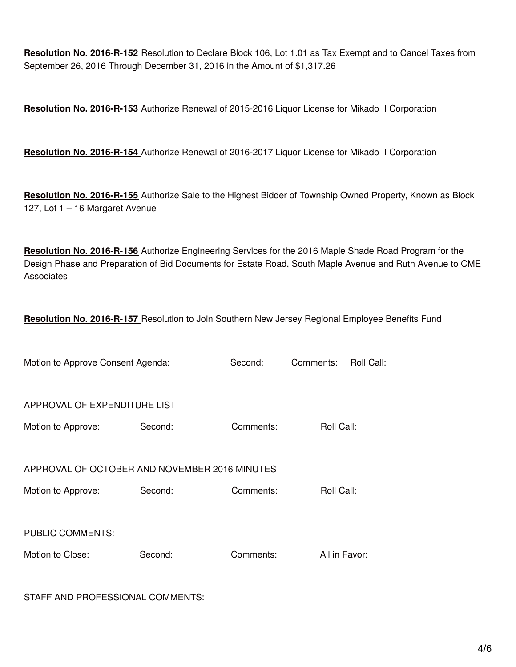**Resolution No. 2016-R-152** Resolution to Declare Block 106, Lot 1.01 as Tax Exempt and to Cancel Taxes from September 26, 2016 Through December 31, 2016 in the Amount of \$1,317.26

**Resolution No. 2016-R-153** Authorize Renewal of 2015-2016 Liquor License for Mikado II Corporation

**Resolution No. 2016-R-154** Authorize Renewal of 2016-2017 Liquor License for Mikado II Corporation

**Resolution No. 2016-R-155** Authorize Sale to the Highest Bidder of Township Owned Property, Known as Block 127, Lot 1 – 16 Margaret Avenue

**Resolution No. 2016-R-156** Authorize Engineering Services for the 2016 Maple Shade Road Program for the Design Phase and Preparation of Bid Documents for Estate Road, South Maple Avenue and Ruth Avenue to CME **Associates** 

**Resolution No. 2016-R-157** Resolution to Join Southern New Jersey Regional Employee Benefits Fund

| Motion to Approve Consent Agenda:             |         | Second:   | Comments:     | Roll Call: |
|-----------------------------------------------|---------|-----------|---------------|------------|
| APPROVAL OF EXPENDITURE LIST                  |         |           |               |            |
| Motion to Approve:                            | Second: | Comments: | Roll Call:    |            |
| APPROVAL OF OCTOBER AND NOVEMBER 2016 MINUTES |         |           |               |            |
| Motion to Approve:                            | Second: | Comments: | Roll Call:    |            |
| <b>PUBLIC COMMENTS:</b>                       |         |           |               |            |
| Motion to Close:                              | Second: | Comments: | All in Favor: |            |

STAFF AND PROFESSIONAL COMMENTS: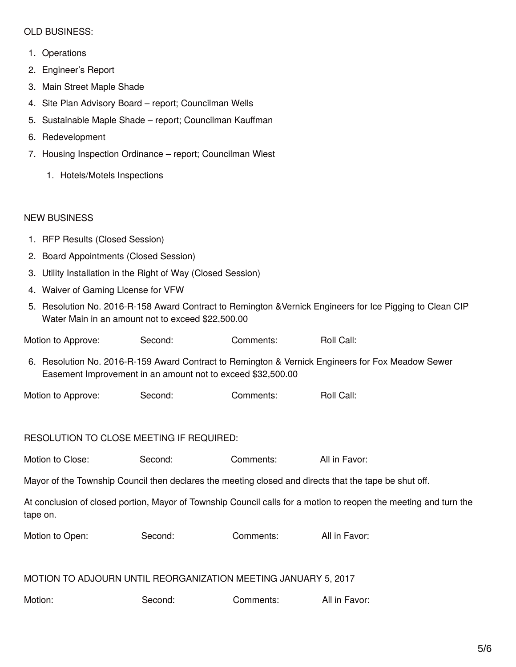#### OLD BUSINESS:

- 1. Operations
- 2. Engineer's Report
- 3. Main Street Maple Shade
- 4. Site Plan Advisory Board report; Councilman Wells
- 5. Sustainable Maple Shade report; Councilman Kauffman
- 6. Redevelopment
- 7. Housing Inspection Ordinance report; Councilman Wiest
	- 1. Hotels/Motels Inspections

#### NEW BUSINESS

- 1. RFP Results (Closed Session)
- 2. Board Appointments (Closed Session)
- 3. Utility Installation in the Right of Way (Closed Session)
- 4. Waiver of Gaming License for VFW
- 5. Resolution No. 2016-R-158 Award Contract to Remington &Vernick Engineers for Ice Pigging to Clean CIP Water Main in an amount not to exceed \$22,500.00

Motion to Approve: Second: Comments: Roll Call:

- 6. Resolution No. 2016-R-159 Award Contract to Remington & Vernick Engineers for Fox Meadow Sewer Easement Improvement in an amount not to exceed \$32,500.00
- Motion to Approve: Second: Comments: Roll Call:

#### RESOLUTION TO CLOSE MEETING IF REQUIRED:

| Motion to Close: | Second: | Comments: | All in Favor: |
|------------------|---------|-----------|---------------|
|------------------|---------|-----------|---------------|

Mayor of the Township Council then declares the meeting closed and directs that the tape be shut off.

At conclusion of closed portion, Mayor of Township Council calls for a motion to reopen the meeting and turn the tape on.

| Motion to Open: | Second: | Comments: | All in Favor: |
|-----------------|---------|-----------|---------------|
|                 |         |           |               |

#### MOTION TO ADJOURN UNTIL REORGANIZATION MEETING JANUARY 5, 2017

| Motion: | Second: | Comments: | All in Favor: |
|---------|---------|-----------|---------------|
|---------|---------|-----------|---------------|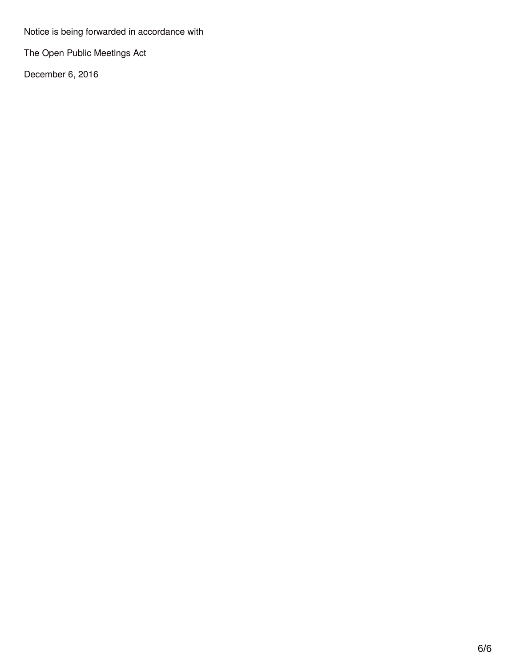Notice is being forwarded in accordance with

The Open Public Meetings Act

December 6, 2016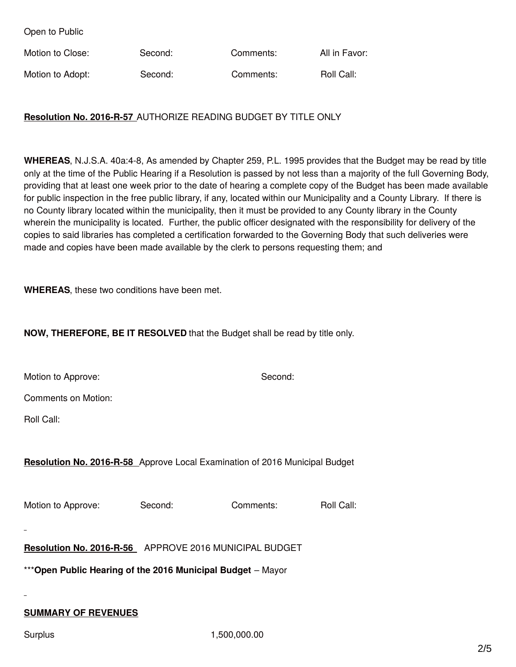Open to Public

| Motion to Close: | Second: | Comments: | All in Favor: |
|------------------|---------|-----------|---------------|
| Motion to Adopt: | Second: | Comments: | Roll Call:    |

### **Resolution No. 2016-R-57** AUTHORIZE READING BUDGET BY TITLE ONLY

**WHEREAS**, N.J.S.A. 40a:4-8, As amended by Chapter 259, P.L. 1995 provides that the Budget may be read by title only at the time of the Public Hearing if a Resolution is passed by not less than a majority of the full Governing Body, providing that at least one week prior to the date of hearing a complete copy of the Budget has been made available for public inspection in the free public library, if any, located within our Municipality and a County Library. If there is no County library located within the municipality, then it must be provided to any County library in the County wherein the municipality is located. Further, the public officer designated with the responsibility for delivery of the copies to said libraries has completed a certification forwarded to the Governing Body that such deliveries were made and copies have been made available by the clerk to persons requesting them; and

**WHEREAS**, these two conditions have been met.

#### **NOW, THEREFORE, BE IT RESOLVED** that the Budget shall be read by title only.

Motion to Approve: Second: Second: Second:

Comments on Motion:

Roll Call:

#### **Resolution No. 2016-R-58** Approve Local Examination of 2016 Municipal Budget

Motion to Approve: Second: Comments: Roll Call:

**Resolution No. 2016-R-56** APPROVE 2016 MUNICIPAL BUDGET

\*\*\***Open Public Hearing of the 2016 Municipal Budget** – Mayor

## **SUMMARY OF REVENUES**

Surplus 1,500,000.00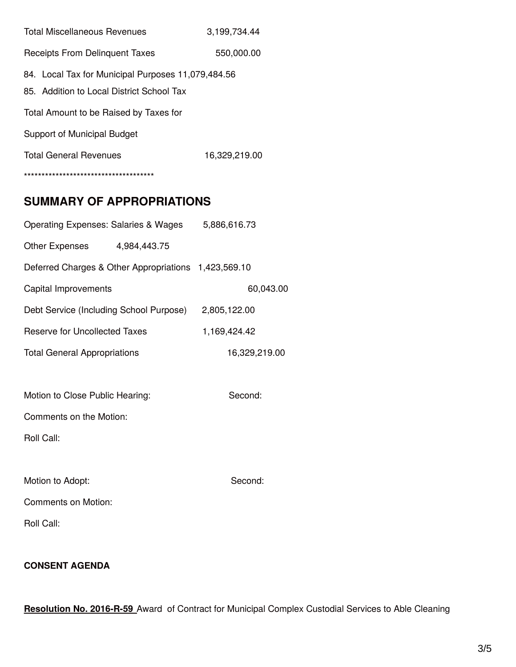| <b>Total Miscellaneous Revenues</b>                                                             | 3,199,734.44 |  |  |
|-------------------------------------------------------------------------------------------------|--------------|--|--|
| Receipts From Delinguent Taxes                                                                  | 550,000.00   |  |  |
| 84. Local Tax for Municipal Purposes 11,079,484.56<br>85. Addition to Local District School Tax |              |  |  |
| Total Amount to be Raised by Taxes for                                                          |              |  |  |
| Support of Municipal Budget                                                                     |              |  |  |
| <b>Total General Revenues</b><br>16,329,219.00                                                  |              |  |  |
| **************************************                                                          |              |  |  |

## **SUMMARY OF APPROPRIATIONS**

| Operating Expenses: Salaries & Wages                 | 5,886,616.73 |              |               |
|------------------------------------------------------|--------------|--------------|---------------|
| Other Expenses 4,984,443.75                          |              |              |               |
| Deferred Charges & Other Appropriations 1,423,569.10 |              |              |               |
| Capital Improvements                                 |              |              | 60,043.00     |
| Debt Service (Including School Purpose)              |              | 2,805,122.00 |               |
| <b>Reserve for Uncollected Taxes</b>                 |              | 1,169,424.42 |               |
| <b>Total General Appropriations</b>                  |              |              | 16,329,219.00 |
|                                                      |              |              |               |
| Motion to Close Public Hearing:                      |              | Second:      |               |
| Comments on the Motion:                              |              |              |               |
| Roll Call:                                           |              |              |               |
|                                                      |              |              |               |
| Motion to Adopt:                                     |              | Second:      |               |
| <b>Comments on Motion:</b>                           |              |              |               |
| Roll Call:                                           |              |              |               |
|                                                      |              |              |               |

## **CONSENT AGENDA**

**Resolution No. 2016-R-59** Award of Contract for Municipal Complex Custodial Services to Able Cleaning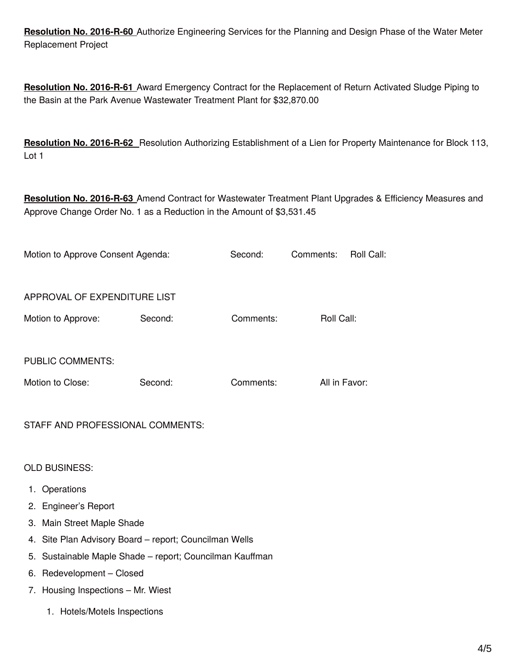**Resolution No. 2016-R-60** Authorize Engineering Services for the Planning and Design Phase of the Water Meter Replacement Project

**Resolution No. 2016-R-61** Award Emergency Contract for the Replacement of Return Activated Sludge Piping to the Basin at the Park Avenue Wastewater Treatment Plant for \$32,870.00

**Resolution No. 2016-R-62** Resolution Authorizing Establishment of a Lien for Property Maintenance for Block 113, Lot 1

**Resolution No. 2016-R-63** Amend Contract for Wastewater Treatment Plant Upgrades & Efficiency Measures and Approve Change Order No. 1 as a Reduction in the Amount of \$3,531.45

| Motion to Approve Consent Agenda: |         | Second:   | Comments:     | Roll Call: |
|-----------------------------------|---------|-----------|---------------|------------|
| APPROVAL OF EXPENDITURE LIST      |         |           |               |            |
| Motion to Approve:                | Second: | Comments: | Roll Call:    |            |
|                                   |         |           |               |            |
| <b>PUBLIC COMMENTS:</b>           |         |           |               |            |
| Motion to Close:                  | Second: | Comments: | All in Favor: |            |
|                                   |         |           |               |            |

#### STAFF AND PROFESSIONAL COMMENTS:

OLD BUSINESS:

- 1. Operations
- 2. Engineer's Report
- 3. Main Street Maple Shade
- 4. Site Plan Advisory Board report; Councilman Wells
- 5. Sustainable Maple Shade report; Councilman Kauffman
- 6. Redevelopment Closed
- 7. Housing Inspections Mr. Wiest
	- 1. Hotels/Motels Inspections